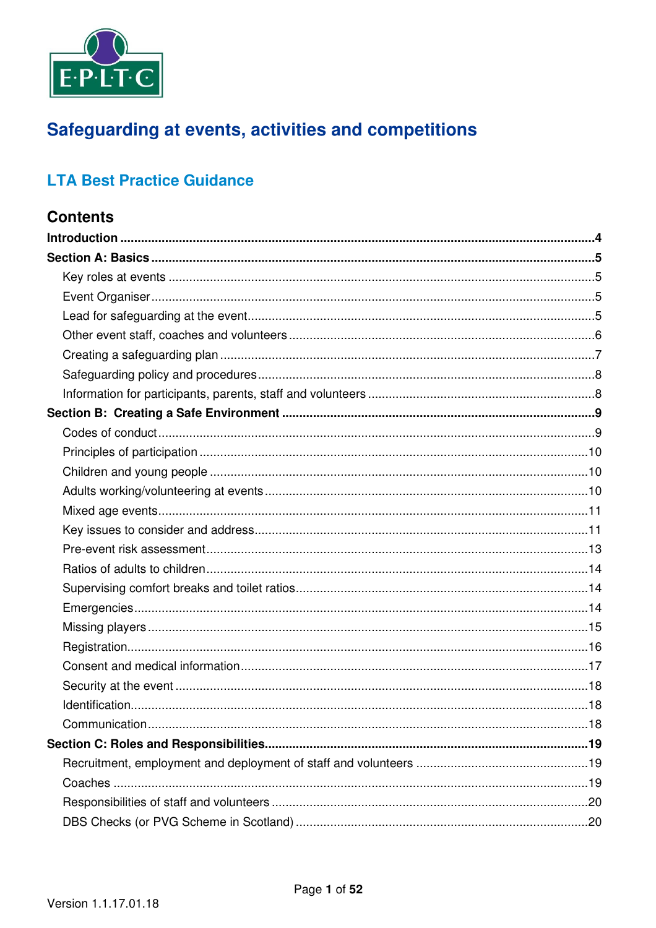

# Safeguarding at events, activities and competitions

# **LTA Best Practice Guidance**

## **Contents**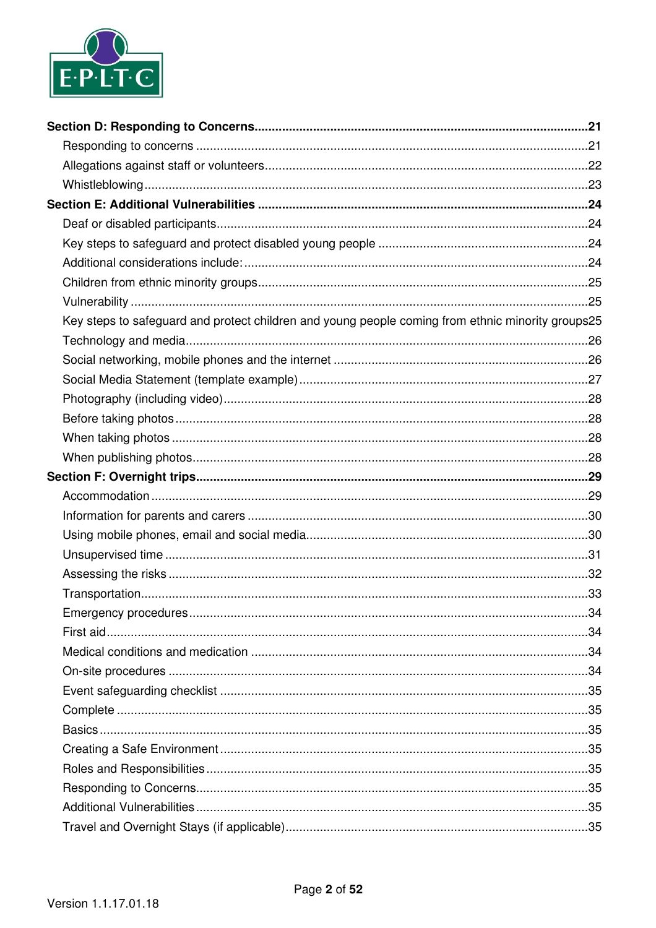

| Key steps to safeguard and protect children and young people coming from ethnic minority groups25 |  |
|---------------------------------------------------------------------------------------------------|--|
|                                                                                                   |  |
|                                                                                                   |  |
|                                                                                                   |  |
|                                                                                                   |  |
|                                                                                                   |  |
|                                                                                                   |  |
|                                                                                                   |  |
|                                                                                                   |  |
|                                                                                                   |  |
|                                                                                                   |  |
|                                                                                                   |  |
|                                                                                                   |  |
|                                                                                                   |  |
|                                                                                                   |  |
|                                                                                                   |  |
|                                                                                                   |  |
|                                                                                                   |  |
|                                                                                                   |  |
|                                                                                                   |  |
|                                                                                                   |  |
|                                                                                                   |  |
|                                                                                                   |  |
|                                                                                                   |  |
|                                                                                                   |  |
|                                                                                                   |  |
|                                                                                                   |  |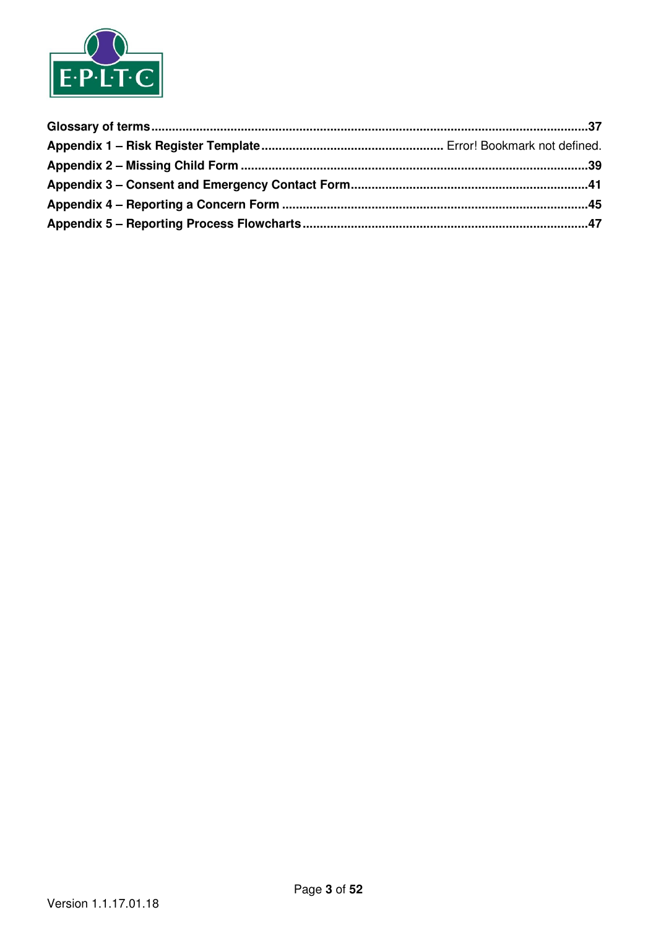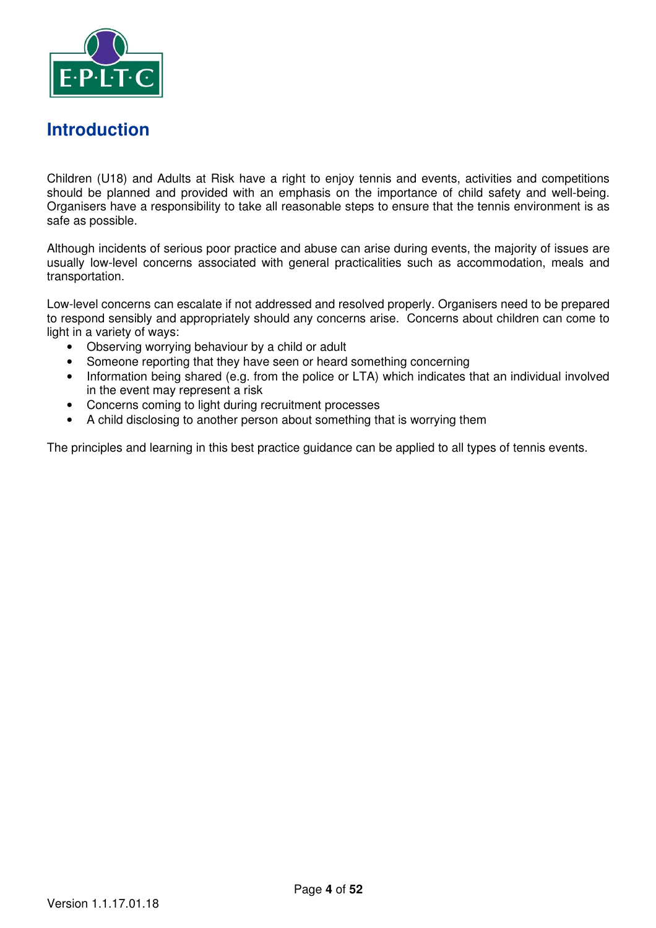

## **Introduction**

Children (U18) and Adults at Risk have a right to enjoy tennis and events, activities and competitions should be planned and provided with an emphasis on the importance of child safety and well-being. Organisers have a responsibility to take all reasonable steps to ensure that the tennis environment is as safe as possible.

Although incidents of serious poor practice and abuse can arise during events, the majority of issues are usually low-level concerns associated with general practicalities such as accommodation, meals and transportation.

Low-level concerns can escalate if not addressed and resolved properly. Organisers need to be prepared to respond sensibly and appropriately should any concerns arise. Concerns about children can come to light in a variety of ways:

- Observing worrying behaviour by a child or adult
- Someone reporting that they have seen or heard something concerning
- Information being shared (e.g. from the police or LTA) which indicates that an individual involved in the event may represent a risk
- Concerns coming to light during recruitment processes
- A child disclosing to another person about something that is worrying them

The principles and learning in this best practice guidance can be applied to all types of tennis events.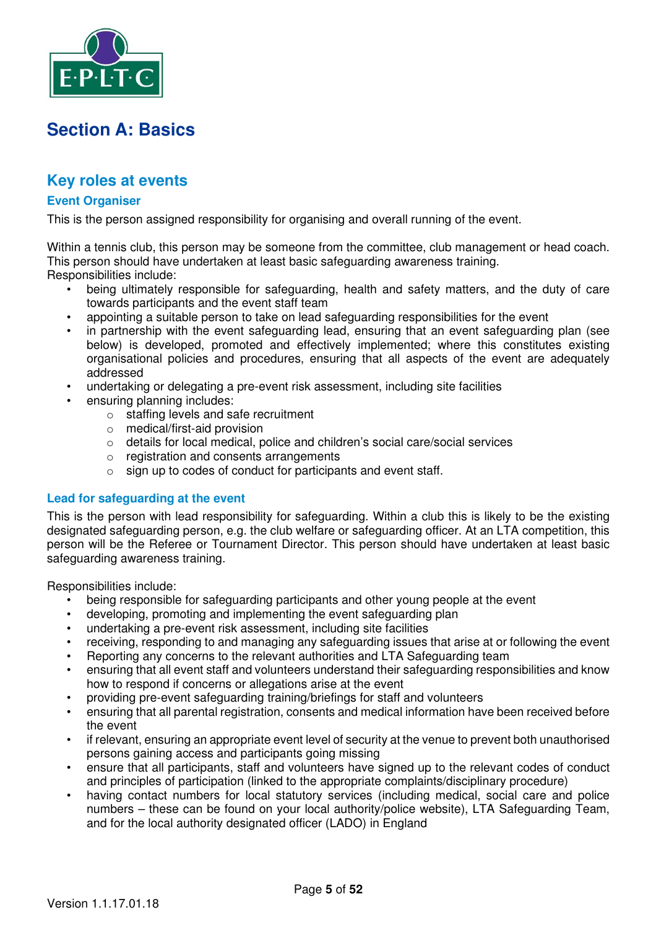

# **Section A: Basics**

## **Key roles at events**

#### **Event Organiser**

This is the person assigned responsibility for organising and overall running of the event.

Within a tennis club, this person may be someone from the committee, club management or head coach. This person should have undertaken at least basic safeguarding awareness training. Responsibilities include:

- being ultimately responsible for safeguarding, health and safety matters, and the duty of care towards participants and the event staff team
- appointing a suitable person to take on lead safeguarding responsibilities for the event
- in partnership with the event safeguarding lead, ensuring that an event safeguarding plan (see below) is developed, promoted and effectively implemented; where this constitutes existing organisational policies and procedures, ensuring that all aspects of the event are adequately addressed
	- undertaking or delegating a pre-event risk assessment, including site facilities
- ensuring planning includes:
	- o staffing levels and safe recruitment
	- o medical/first-aid provision
	- o details for local medical, police and children's social care/social services
	- $\circ$  registration and consents arrangements
	- $\circ$  sign up to codes of conduct for participants and event staff.

#### **Lead for safeguarding at the event**

This is the person with lead responsibility for safeguarding. Within a club this is likely to be the existing designated safeguarding person, e.g. the club welfare or safeguarding officer. At an LTA competition, this person will be the Referee or Tournament Director. This person should have undertaken at least basic safeguarding awareness training.

Responsibilities include:

- being responsible for safeguarding participants and other young people at the event
- developing, promoting and implementing the event safeguarding plan
- undertaking a pre-event risk assessment, including site facilities
- receiving, responding to and managing any safeguarding issues that arise at or following the event
- Reporting any concerns to the relevant authorities and LTA Safeguarding team
- ensuring that all event staff and volunteers understand their safeguarding responsibilities and know how to respond if concerns or allegations arise at the event
- providing pre-event safeguarding training/briefings for staff and volunteers
- ensuring that all parental registration, consents and medical information have been received before the event
- if relevant, ensuring an appropriate event level of security at the venue to prevent both unauthorised persons gaining access and participants going missing
- ensure that all participants, staff and volunteers have signed up to the relevant codes of conduct and principles of participation (linked to the appropriate complaints/disciplinary procedure)
- having contact numbers for local statutory services (including medical, social care and police numbers – these can be found on your local authority/police website), LTA Safeguarding Team, and for the local authority designated officer (LADO) in England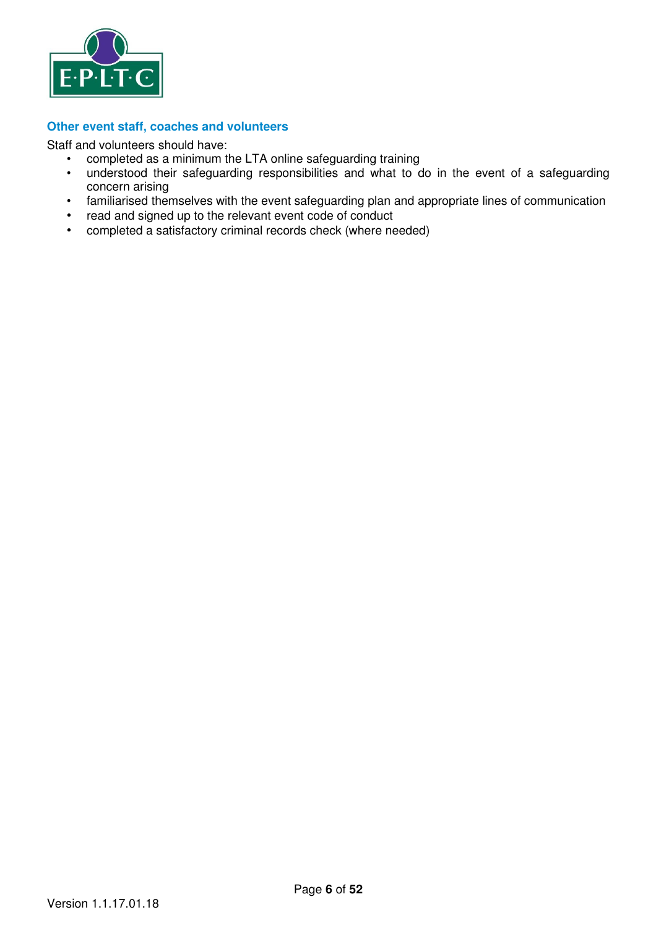

#### **Other event staff, coaches and volunteers**

Staff and volunteers should have:

- completed as a minimum the LTA online safeguarding training
- understood their safeguarding responsibilities and what to do in the event of a safeguarding concern arising
- familiarised themselves with the event safeguarding plan and appropriate lines of communication
- read and signed up to the relevant event code of conduct
- completed a satisfactory criminal records check (where needed)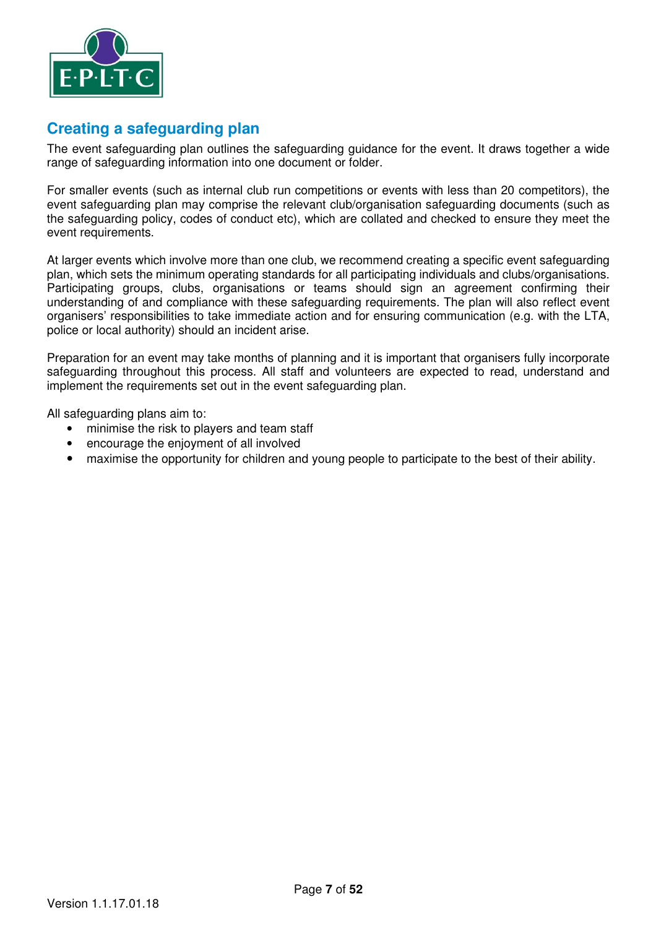

## **Creating a safeguarding plan**

The event safeguarding plan outlines the safeguarding guidance for the event. It draws together a wide range of safeguarding information into one document or folder.

For smaller events (such as internal club run competitions or events with less than 20 competitors), the event safeguarding plan may comprise the relevant club/organisation safeguarding documents (such as the safeguarding policy, codes of conduct etc), which are collated and checked to ensure they meet the event requirements.

At larger events which involve more than one club, we recommend creating a specific event safeguarding plan, which sets the minimum operating standards for all participating individuals and clubs/organisations. Participating groups, clubs, organisations or teams should sign an agreement confirming their understanding of and compliance with these safeguarding requirements. The plan will also reflect event organisers' responsibilities to take immediate action and for ensuring communication (e.g. with the LTA, police or local authority) should an incident arise.

Preparation for an event may take months of planning and it is important that organisers fully incorporate safeguarding throughout this process. All staff and volunteers are expected to read, understand and implement the requirements set out in the event safeguarding plan.

All safeguarding plans aim to:

- minimise the risk to players and team staff
- encourage the enjoyment of all involved
- maximise the opportunity for children and young people to participate to the best of their ability.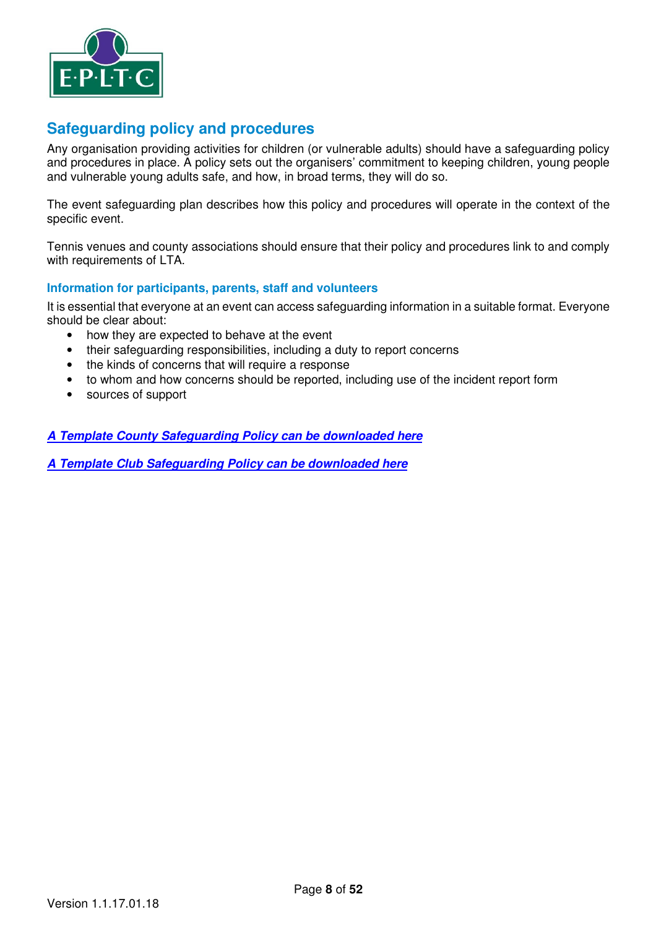

## **Safeguarding policy and procedures**

Any organisation providing activities for children (or vulnerable adults) should have a safeguarding policy and procedures in place. A policy sets out the organisers' commitment to keeping children, young people and vulnerable young adults safe, and how, in broad terms, they will do so.

The event safeguarding plan describes how this policy and procedures will operate in the context of the specific event.

Tennis venues and county associations should ensure that their policy and procedures link to and comply with requirements of LTA.

#### **Information for participants, parents, staff and volunteers**

It is essential that everyone at an event can access safeguarding information in a suitable format. Everyone should be clear about:

- how they are expected to behave at the event
- their safeguarding responsibilities, including a duty to report concerns
- the kinds of concerns that will require a response
- to whom and how concerns should be reported, including use of the incident report form
- sources of support

*A Template County Safeguarding Policy can be downloaded here*

*A Template Club Safeguarding Policy can be downloaded here*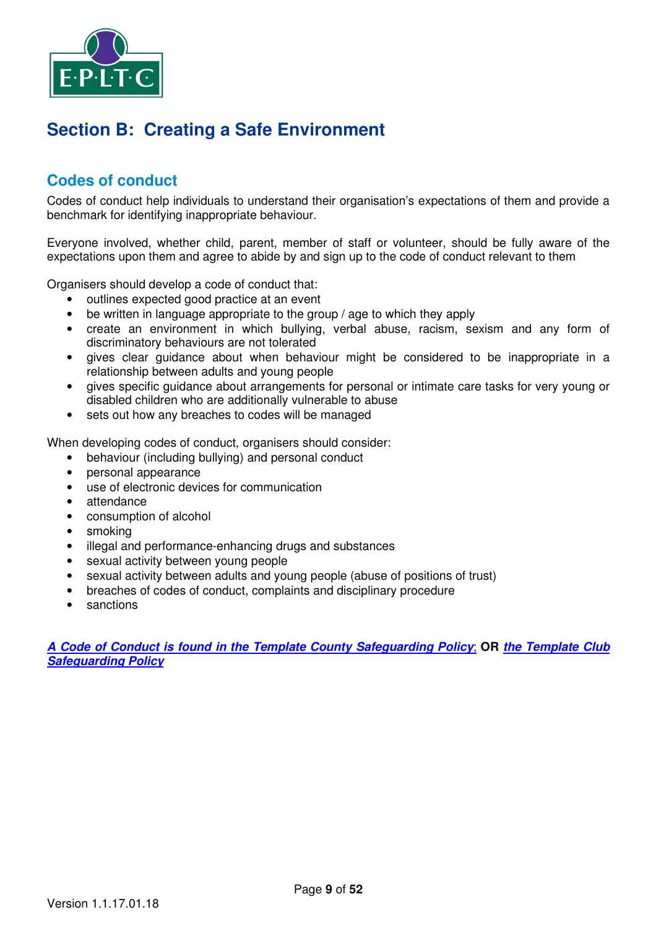

# **Section B: Creating a Safe Environment**

## **Codes of conduct**

Codes of conduct help individuals to understand their organisation's expectations of them and provide a benchmark for identifying inappropriate behaviour.

Everyone involved, whether child, parent, member of staff or volunteer, should be fully aware of the expectations upon them and agree to abide by and sign up to the code of conduct relevant to them

Organisers should develop a code of conduct that:

- outlines expected good practice at an event
- be written in language appropriate to the group / age to which they apply
- create an environment in which bullying, verbal abuse, racism, sexism and any form of discriminatory behaviours are not tolerated
- gives clear guidance about when behaviour might be considered to be inappropriate in a relationship between adults and young people
- gives specific quidance about arrangements for personal or intimate care tasks for very young or disabled children who are additionally vulnerable to abuse
- sets out how any breaches to codes will be managed

When developing codes of conduct, organisers should consider:

- behaviour (including bullying) and personal conduct
- personal appearance
- use of electronic devices for communication
- attendance
- consumption of alcohol
- smoking
- illegal and performance-enhancing drugs and substances
- sexual activity between young people
- sexual activity between adults and young people (abuse of positions of trust)
- breaches of codes of conduct, complaints and disciplinary procedure
- sanctions

*A Code of Conduct is found in the Template County Safeguarding Policy*; **OR** *the Template Club Safeguarding Policy*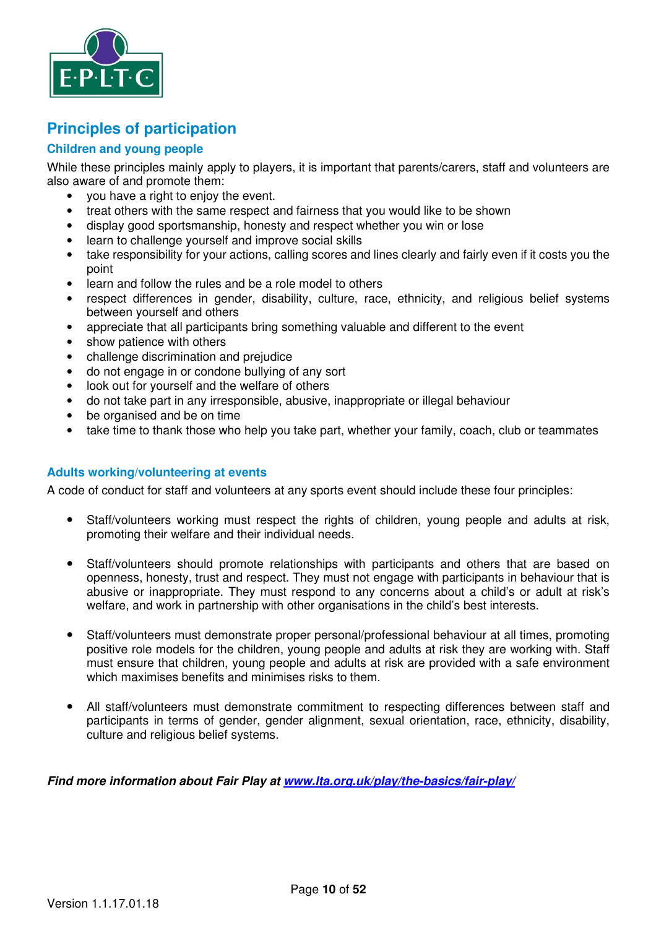

## **Principles of participation**

#### **Children and young people**

While these principles mainly apply to players, it is important that parents/carers, staff and volunteers are also aware of and promote them:

- you have a right to enjoy the event.
- treat others with the same respect and fairness that you would like to be shown
- display good sportsmanship, honesty and respect whether you win or lose
- learn to challenge yourself and improve social skills
- take responsibility for your actions, calling scores and lines clearly and fairly even if it costs you the point
- learn and follow the rules and be a role model to others
- respect differences in gender, disability, culture, race, ethnicity, and religious belief systems between yourself and others
- appreciate that all participants bring something valuable and different to the event
- show patience with others
- challenge discrimination and prejudice
- do not engage in or condone bullying of any sort
- look out for yourself and the welfare of others
- do not take part in any irresponsible, abusive, inappropriate or illegal behaviour
- be organised and be on time
- take time to thank those who help you take part, whether your family, coach, club or teammates

#### **Adults working/volunteering at events**

A code of conduct for staff and volunteers at any sports event should include these four principles:

- Staff/volunteers working must respect the rights of children, young people and adults at risk, promoting their welfare and their individual needs.
- Staff/volunteers should promote relationships with participants and others that are based on openness, honesty, trust and respect. They must not engage with participants in behaviour that is abusive or inappropriate. They must respond to any concerns about a child's or adult at risk's welfare, and work in partnership with other organisations in the child's best interests.
- Staff/volunteers must demonstrate proper personal/professional behaviour at all times, promoting positive role models for the children, young people and adults at risk they are working with. Staff must ensure that children, young people and adults at risk are provided with a safe environment which maximises benefits and minimises risks to them.
- All staff/volunteers must demonstrate commitment to respecting differences between staff and participants in terms of gender, gender alignment, sexual orientation, race, ethnicity, disability, culture and religious belief systems.

*Find more information about Fair Play at www.lta.org.uk/play/the-basics/fair-play/*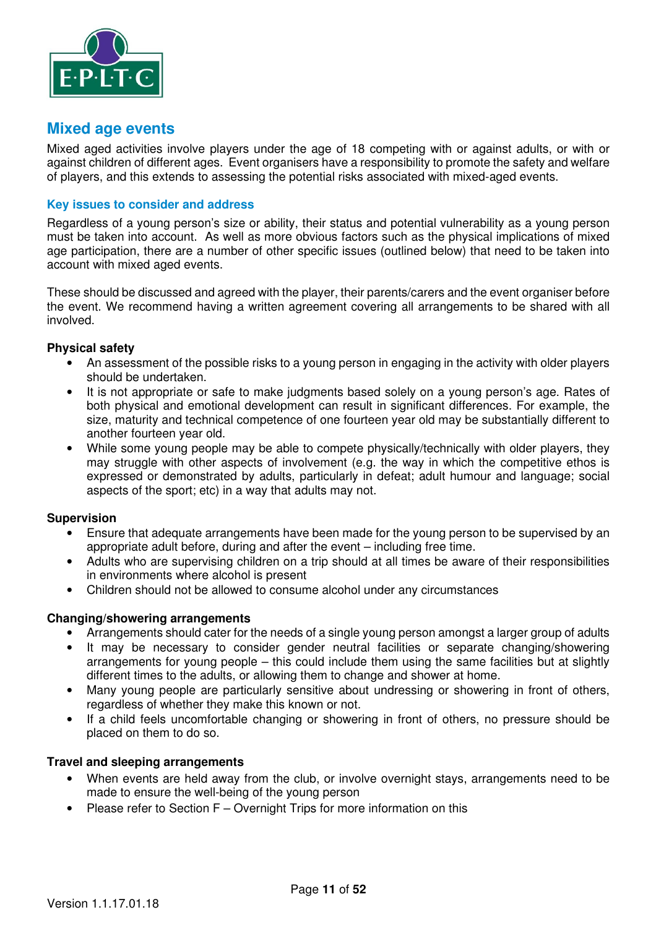

### **Mixed age events**

Mixed aged activities involve players under the age of 18 competing with or against adults, or with or against children of different ages. Event organisers have a responsibility to promote the safety and welfare of players, and this extends to assessing the potential risks associated with mixed-aged events.

#### **Key issues to consider and address**

Regardless of a young person's size or ability, their status and potential vulnerability as a young person must be taken into account. As well as more obvious factors such as the physical implications of mixed age participation, there are a number of other specific issues (outlined below) that need to be taken into account with mixed aged events.

These should be discussed and agreed with the player, their parents/carers and the event organiser before the event. We recommend having a written agreement covering all arrangements to be shared with all involved.

#### **Physical safety**

- An assessment of the possible risks to a young person in engaging in the activity with older players should be undertaken.
- It is not appropriate or safe to make judgments based solely on a young person's age. Rates of both physical and emotional development can result in significant differences. For example, the size, maturity and technical competence of one fourteen year old may be substantially different to another fourteen year old.
- While some young people may be able to compete physically/technically with older players, they may struggle with other aspects of involvement (e.g. the way in which the competitive ethos is expressed or demonstrated by adults, particularly in defeat; adult humour and language; social aspects of the sport; etc) in a way that adults may not.

#### **Supervision**

- Ensure that adequate arrangements have been made for the young person to be supervised by an appropriate adult before, during and after the event – including free time.
- Adults who are supervising children on a trip should at all times be aware of their responsibilities in environments where alcohol is present
- Children should not be allowed to consume alcohol under any circumstances

#### **Changing/showering arrangements**

- Arrangements should cater for the needs of a single young person amongst a larger group of adults
- It may be necessary to consider gender neutral facilities or separate changing/showering arrangements for young people – this could include them using the same facilities but at slightly different times to the adults, or allowing them to change and shower at home.
- Many young people are particularly sensitive about undressing or showering in front of others, regardless of whether they make this known or not.
- If a child feels uncomfortable changing or showering in front of others, no pressure should be placed on them to do so.

#### **Travel and sleeping arrangements**

- When events are held away from the club, or involve overnight stays, arrangements need to be made to ensure the well-being of the young person
- Please refer to Section F Overnight Trips for more information on this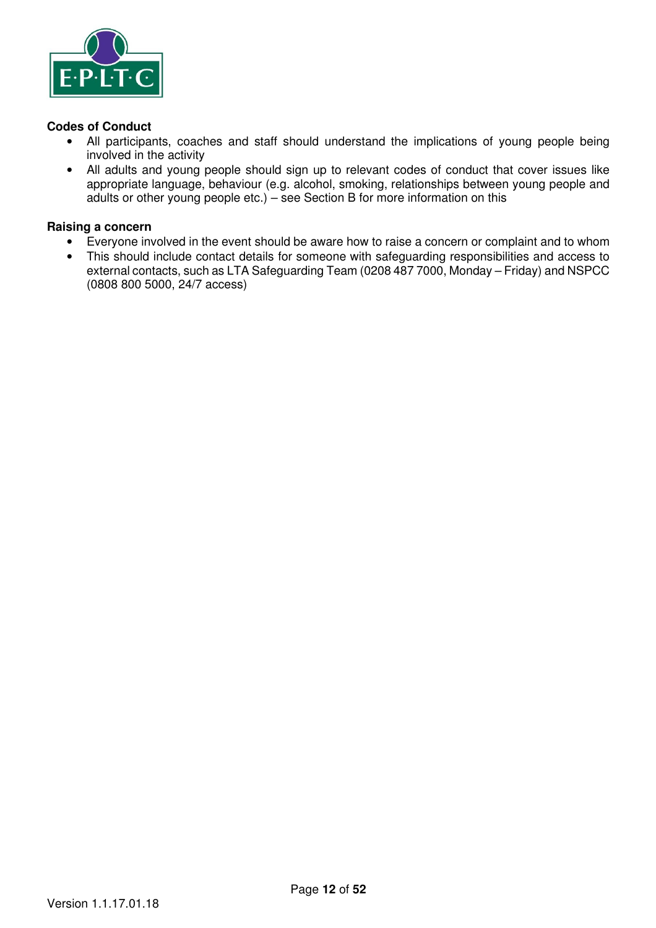

#### **Codes of Conduct**

- All participants, coaches and staff should understand the implications of young people being involved in the activity
- All adults and young people should sign up to relevant codes of conduct that cover issues like appropriate language, behaviour (e.g. alcohol, smoking, relationships between young people and adults or other young people etc.) – see Section B for more information on this

#### **Raising a concern**

- Everyone involved in the event should be aware how to raise a concern or complaint and to whom
- This should include contact details for someone with safeguarding responsibilities and access to external contacts, such as LTA Safeguarding Team (0208 487 7000, Monday – Friday) and NSPCC (0808 800 5000, 24/7 access)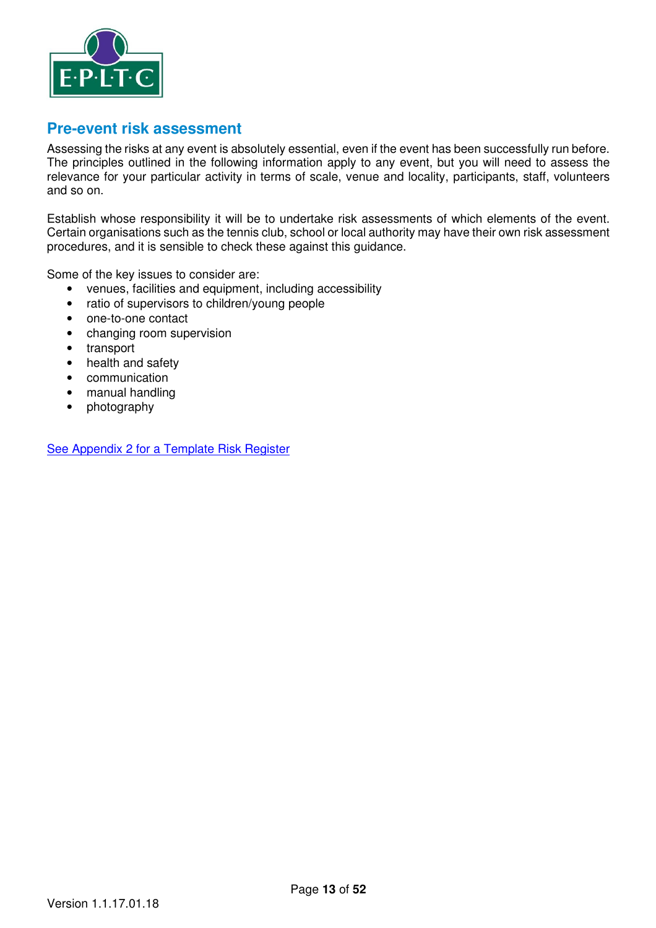

## **Pre-event risk assessment**

Assessing the risks at any event is absolutely essential, even if the event has been successfully run before. The principles outlined in the following information apply to any event, but you will need to assess the relevance for your particular activity in terms of scale, venue and locality, participants, staff, volunteers and so on.

Establish whose responsibility it will be to undertake risk assessments of which elements of the event. Certain organisations such as the tennis club, school or local authority may have their own risk assessment procedures, and it is sensible to check these against this guidance.

Some of the key issues to consider are:

- venues, facilities and equipment, including accessibility
- ratio of supervisors to children/young people
- one-to-one contact
- changing room supervision
- transport
- health and safety
- communication
- manual handling
- photography

See Appendix 2 for a Template Risk Register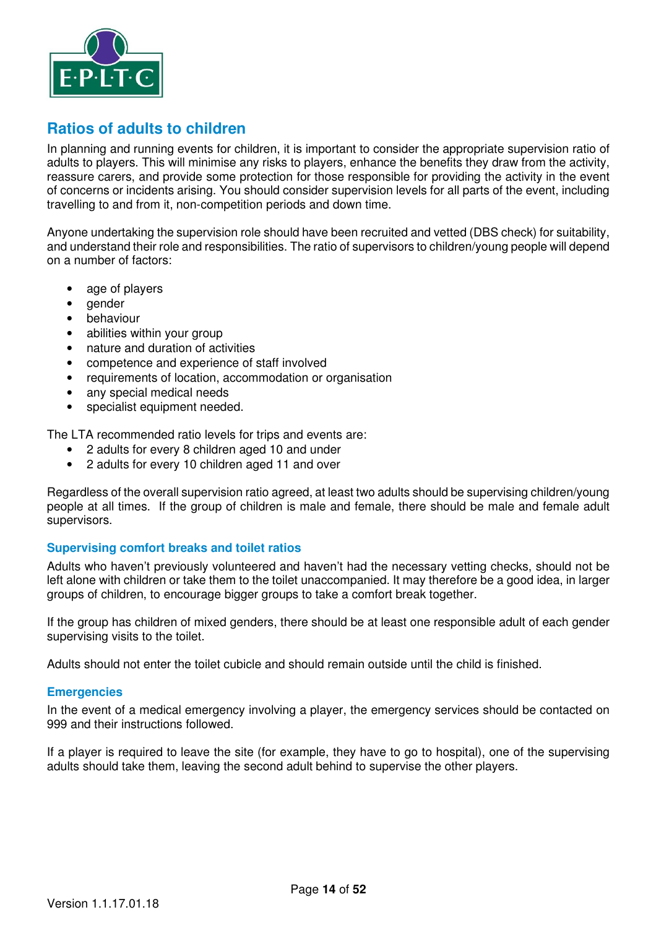

## **Ratios of adults to children**

In planning and running events for children, it is important to consider the appropriate supervision ratio of adults to players. This will minimise any risks to players, enhance the benefits they draw from the activity, reassure carers, and provide some protection for those responsible for providing the activity in the event of concerns or incidents arising. You should consider supervision levels for all parts of the event, including travelling to and from it, non-competition periods and down time.

Anyone undertaking the supervision role should have been recruited and vetted (DBS check) for suitability, and understand their role and responsibilities. The ratio of supervisors to children/young people will depend on a number of factors:

- age of players
- gender
- **behaviour**
- abilities within your group
- nature and duration of activities
- competence and experience of staff involved
- requirements of location, accommodation or organisation
- any special medical needs
- specialist equipment needed.

The LTA recommended ratio levels for trips and events are:

- 2 adults for every 8 children aged 10 and under
- 2 adults for every 10 children aged 11 and over

Regardless of the overall supervision ratio agreed, at least two adults should be supervising children/young people at all times. If the group of children is male and female, there should be male and female adult supervisors.

#### **Supervising comfort breaks and toilet ratios**

Adults who haven't previously volunteered and haven't had the necessary vetting checks, should not be left alone with children or take them to the toilet unaccompanied. It may therefore be a good idea, in larger groups of children, to encourage bigger groups to take a comfort break together.

If the group has children of mixed genders, there should be at least one responsible adult of each gender supervising visits to the toilet.

Adults should not enter the toilet cubicle and should remain outside until the child is finished.

#### **Emergencies**

In the event of a medical emergency involving a player, the emergency services should be contacted on 999 and their instructions followed.

If a player is required to leave the site (for example, they have to go to hospital), one of the supervising adults should take them, leaving the second adult behind to supervise the other players.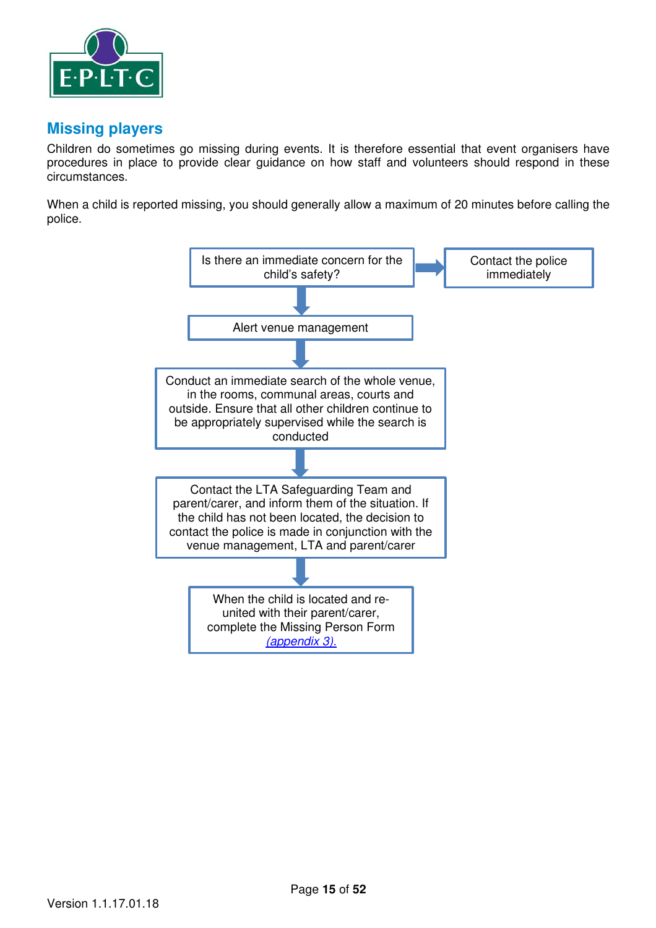

## **Missing players**

Children do sometimes go missing during events. It is therefore essential that event organisers have procedures in place to provide clear guidance on how staff and volunteers should respond in these circumstances.

When a child is reported missing, you should generally allow a maximum of 20 minutes before calling the police.

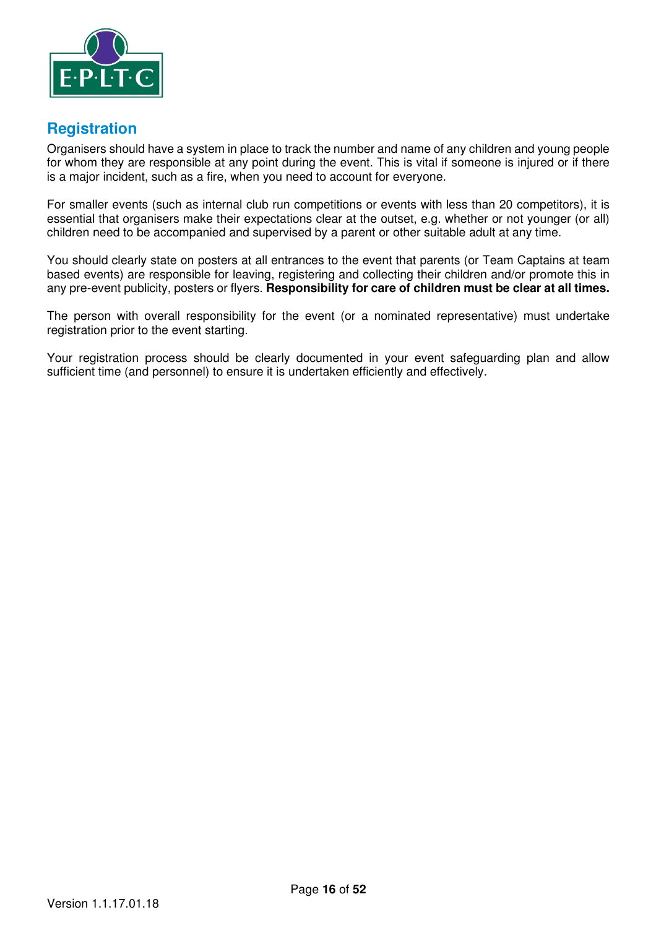

## **Registration**

Organisers should have a system in place to track the number and name of any children and young people for whom they are responsible at any point during the event. This is vital if someone is injured or if there is a major incident, such as a fire, when you need to account for everyone.

For smaller events (such as internal club run competitions or events with less than 20 competitors), it is essential that organisers make their expectations clear at the outset, e.g. whether or not younger (or all) children need to be accompanied and supervised by a parent or other suitable adult at any time.

You should clearly state on posters at all entrances to the event that parents (or Team Captains at team based events) are responsible for leaving, registering and collecting their children and/or promote this in any pre-event publicity, posters or flyers. **Responsibility for care of children must be clear at all times.**

The person with overall responsibility for the event (or a nominated representative) must undertake registration prior to the event starting.

Your registration process should be clearly documented in your event safeguarding plan and allow sufficient time (and personnel) to ensure it is undertaken efficiently and effectively.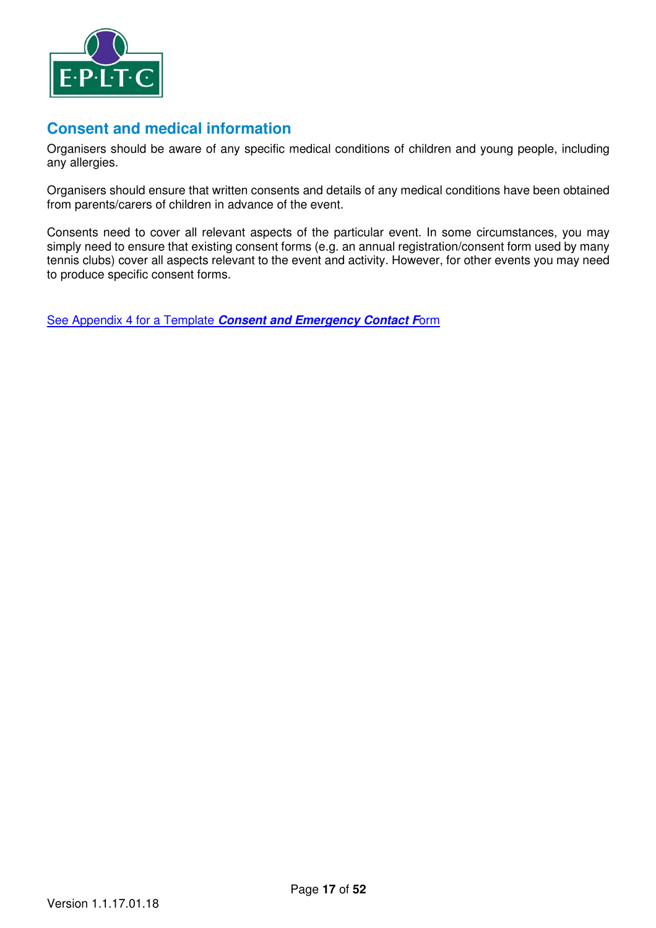

## **Consent and medical information**

Organisers should be aware of any specific medical conditions of children and young people, including any allergies.

Organisers should ensure that written consents and details of any medical conditions have been obtained from parents/carers of children in advance of the event.

Consents need to cover all relevant aspects of the particular event. In some circumstances, you may simply need to ensure that existing consent forms (e.g. an annual registration/consent form used by many tennis clubs) cover all aspects relevant to the event and activity. However, for other events you may need to produce specific consent forms.

See Appendix 4 for a Template *Consent and Emergency Contact F*orm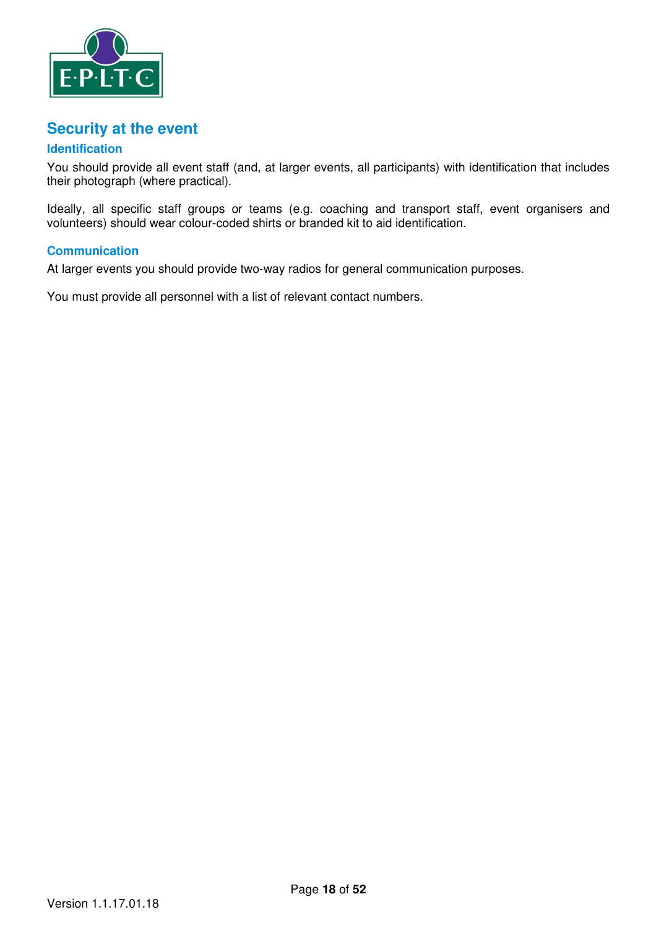

## **Security at the event**

#### **Identification**

You should provide all event staff (and, at larger events, all participants) with identification that includes their photograph (where practical).

Ideally, all specific staff groups or teams (e.g. coaching and transport staff, event organisers and volunteers) should wear colour-coded shirts or branded kit to aid identification.

#### **Communication**

At larger events you should provide two-way radios for general communication purposes.

You must provide all personnel with a list of relevant contact numbers.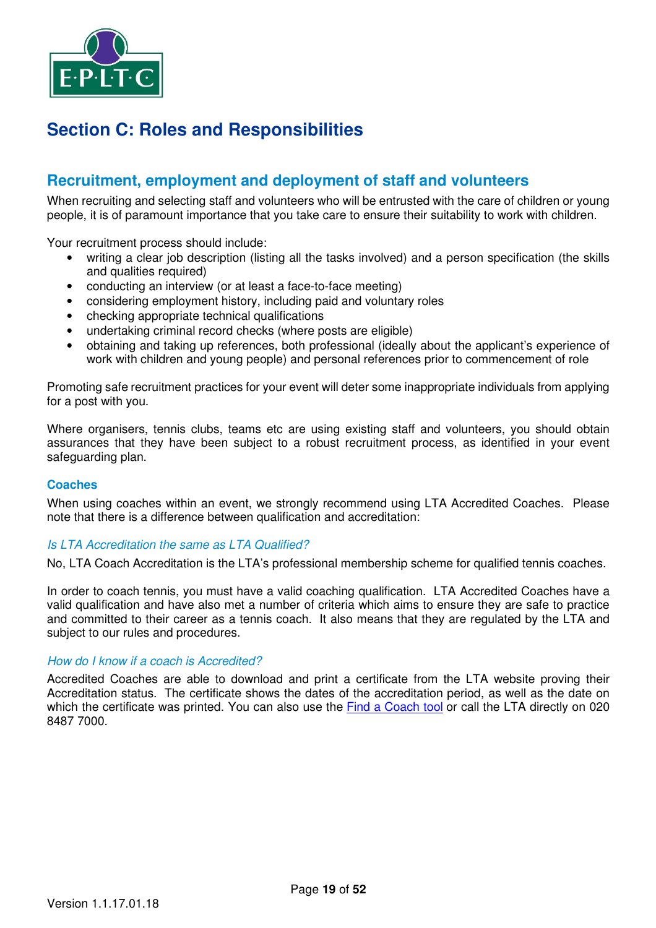

# **Section C: Roles and Responsibilities**

## **Recruitment, employment and deployment of staff and volunteers**

When recruiting and selecting staff and volunteers who will be entrusted with the care of children or young people, it is of paramount importance that you take care to ensure their suitability to work with children.

Your recruitment process should include:

- writing a clear job description (listing all the tasks involved) and a person specification (the skills and qualities required)
- conducting an interview (or at least a face-to-face meeting)
- considering employment history, including paid and voluntary roles
- checking appropriate technical qualifications
- undertaking criminal record checks (where posts are eligible)
- obtaining and taking up references, both professional (ideally about the applicant's experience of work with children and young people) and personal references prior to commencement of role

Promoting safe recruitment practices for your event will deter some inappropriate individuals from applying for a post with you.

Where organisers, tennis clubs, teams etc are using existing staff and volunteers, you should obtain assurances that they have been subject to a robust recruitment process, as identified in your event safeguarding plan.

#### **Coaches**

When using coaches within an event, we strongly recommend using LTA Accredited Coaches. Please note that there is a difference between qualification and accreditation:

#### *Is LTA Accreditation the same as LTA Qualified?*

No, LTA Coach Accreditation is the LTA's professional membership scheme for qualified tennis coaches.

In order to coach tennis, you must have a valid coaching qualification. LTA Accredited Coaches have a valid qualification and have also met a number of criteria which aims to ensure they are safe to practice and committed to their career as a tennis coach. It also means that they are regulated by the LTA and subject to our rules and procedures.

#### *How do I know if a coach is Accredited?*

Accredited Coaches are able to download and print a certificate from the LTA website proving their Accreditation status. The certificate shows the dates of the accreditation period, as well as the date on which the certificate was printed. You can also use the Find a Coach tool or call the LTA directly on 020 8487 7000.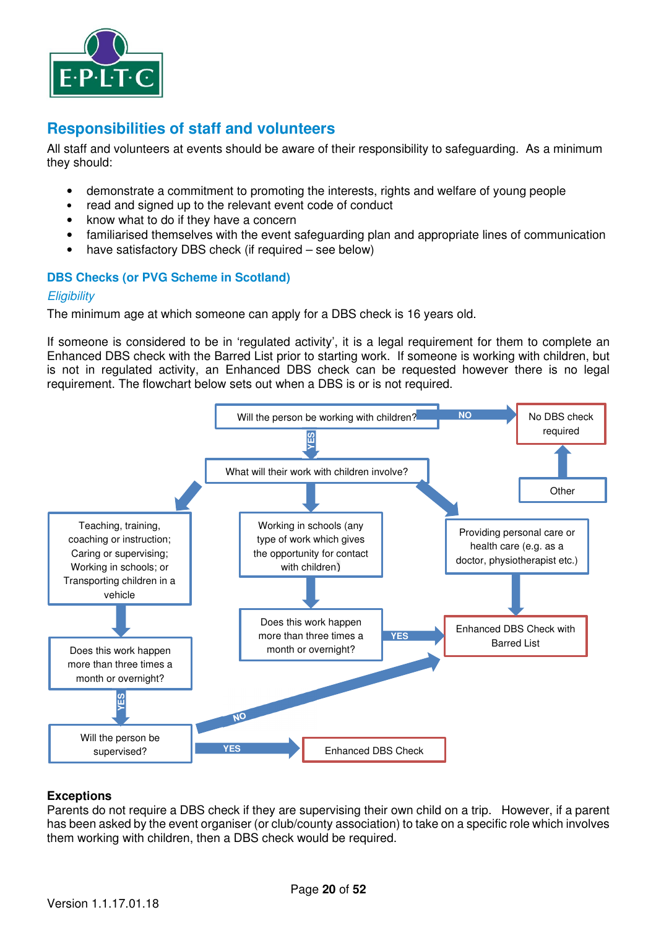

## **Responsibilities of staff and volunteers**

All staff and volunteers at events should be aware of their responsibility to safeguarding. As a minimum they should:

- demonstrate a commitment to promoting the interests, rights and welfare of young people
- read and signed up to the relevant event code of conduct
- know what to do if they have a concern
- familiarised themselves with the event safeguarding plan and appropriate lines of communication
- have satisfactory DBS check (if required see below)

#### **DBS Checks (or PVG Scheme in Scotland)**

#### *Eligibility*

The minimum age at which someone can apply for a DBS check is 16 years old.

If someone is considered to be in 'regulated activity', it is a legal requirement for them to complete an Enhanced DBS check with the Barred List prior to starting work. If someone is working with children, but is not in regulated activity, an Enhanced DBS check can be requested however there is no legal requirement. The flowchart below sets out when a DBS is or is not required.



#### **Exceptions**

Parents do not require a DBS check if they are supervising their own child on a trip. However, if a parent has been asked by the event organiser (or club/county association) to take on a specific role which involves them working with children, then a DBS check would be required.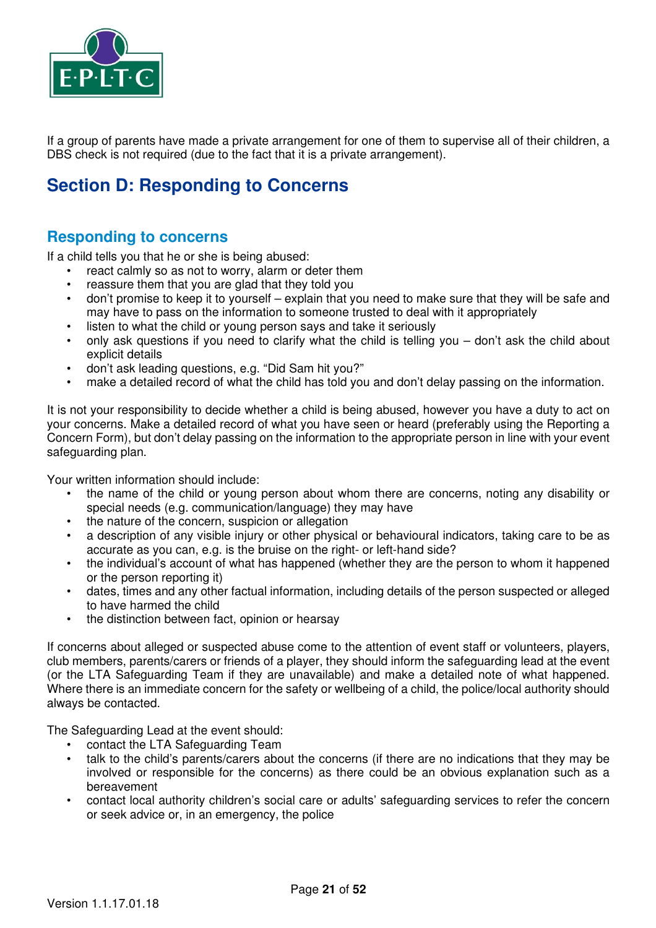

If a group of parents have made a private arrangement for one of them to supervise all of their children, a DBS check is not required (due to the fact that it is a private arrangement).

# **Section D: Responding to Concerns**

## **Responding to concerns**

If a child tells you that he or she is being abused:

- react calmly so as not to worry, alarm or deter them
- reassure them that you are glad that they told you
- don't promise to keep it to yourself explain that you need to make sure that they will be safe and may have to pass on the information to someone trusted to deal with it appropriately
- listen to what the child or young person says and take it seriously
- only ask questions if you need to clarify what the child is telling you don't ask the child about explicit details
- don't ask leading questions, e.g. "Did Sam hit you?"
- make a detailed record of what the child has told you and don't delay passing on the information.

It is not your responsibility to decide whether a child is being abused, however you have a duty to act on your concerns. Make a detailed record of what you have seen or heard (preferably using the Reporting a Concern Form), but don't delay passing on the information to the appropriate person in line with your event safeguarding plan.

Your written information should include:

- the name of the child or young person about whom there are concerns, noting any disability or special needs (e.g. communication/language) they may have
- the nature of the concern, suspicion or allegation
- a description of any visible injury or other physical or behavioural indicators, taking care to be as accurate as you can, e.g. is the bruise on the right- or left-hand side?
- the individual's account of what has happened (whether they are the person to whom it happened or the person reporting it)
- dates, times and any other factual information, including details of the person suspected or alleged to have harmed the child
- the distinction between fact, opinion or hearsay

If concerns about alleged or suspected abuse come to the attention of event staff or volunteers, players, club members, parents/carers or friends of a player, they should inform the safeguarding lead at the event (or the LTA Safeguarding Team if they are unavailable) and make a detailed note of what happened. Where there is an immediate concern for the safety or wellbeing of a child, the police/local authority should always be contacted.

The Safeguarding Lead at the event should:

- contact the LTA Safeguarding Team
- talk to the child's parents/carers about the concerns (if there are no indications that they may be involved or responsible for the concerns) as there could be an obvious explanation such as a bereavement
- contact local authority children's social care or adults' safeguarding services to refer the concern or seek advice or, in an emergency, the police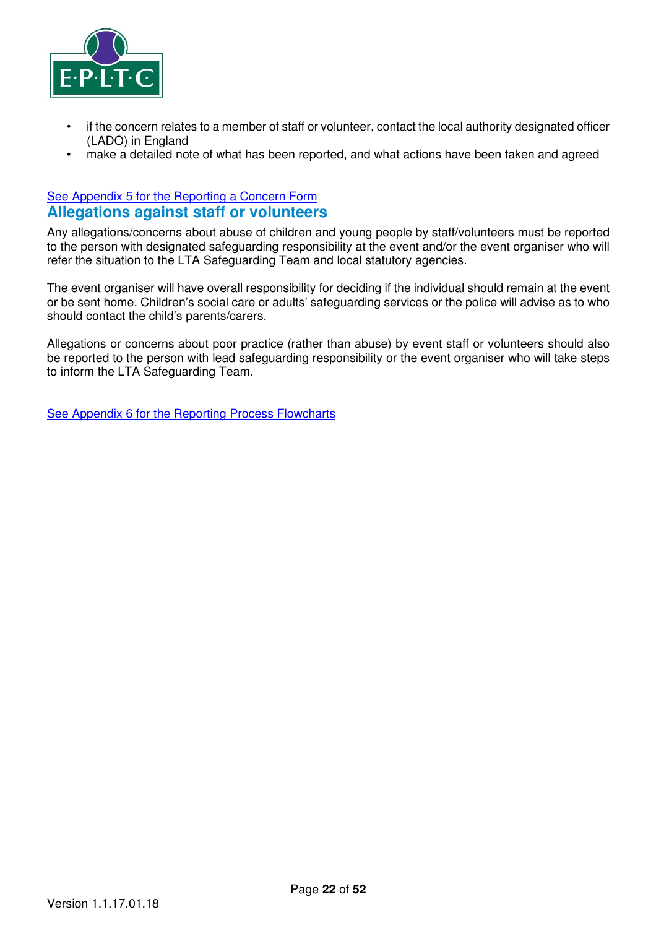

- if the concern relates to a member of staff or volunteer, contact the local authority designated officer (LADO) in England
- make a detailed note of what has been reported, and what actions have been taken and agreed

#### See Appendix 5 for the Reporting a Concern Form **Allegations against staff or volunteers**

Any allegations/concerns about abuse of children and young people by staff/volunteers must be reported to the person with designated safeguarding responsibility at the event and/or the event organiser who will refer the situation to the LTA Safeguarding Team and local statutory agencies.

The event organiser will have overall responsibility for deciding if the individual should remain at the event or be sent home. Children's social care or adults' safeguarding services or the police will advise as to who should contact the child's parents/carers.

Allegations or concerns about poor practice (rather than abuse) by event staff or volunteers should also be reported to the person with lead safeguarding responsibility or the event organiser who will take steps to inform the LTA Safeguarding Team.

See Appendix 6 for the Reporting Process Flowcharts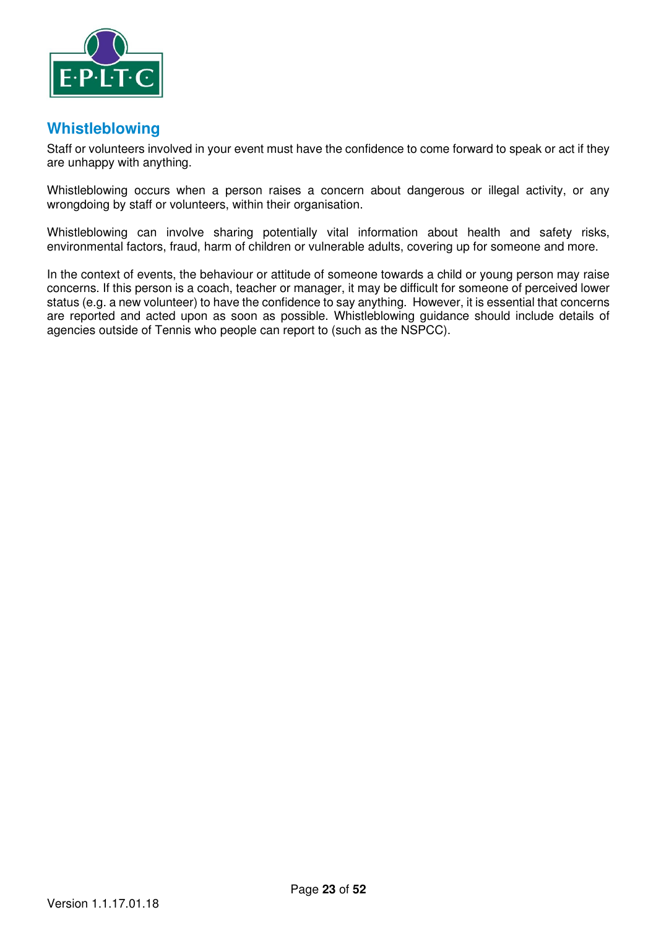

## **Whistleblowing**

Staff or volunteers involved in your event must have the confidence to come forward to speak or act if they are unhappy with anything.

Whistleblowing occurs when a person raises a concern about dangerous or illegal activity, or any wrongdoing by staff or volunteers, within their organisation.

Whistleblowing can involve sharing potentially vital information about health and safety risks, environmental factors, fraud, harm of children or vulnerable adults, covering up for someone and more.

In the context of events, the behaviour or attitude of someone towards a child or young person may raise concerns. If this person is a coach, teacher or manager, it may be difficult for someone of perceived lower status (e.g. a new volunteer) to have the confidence to say anything. However, it is essential that concerns are reported and acted upon as soon as possible. Whistleblowing guidance should include details of agencies outside of Tennis who people can report to (such as the NSPCC).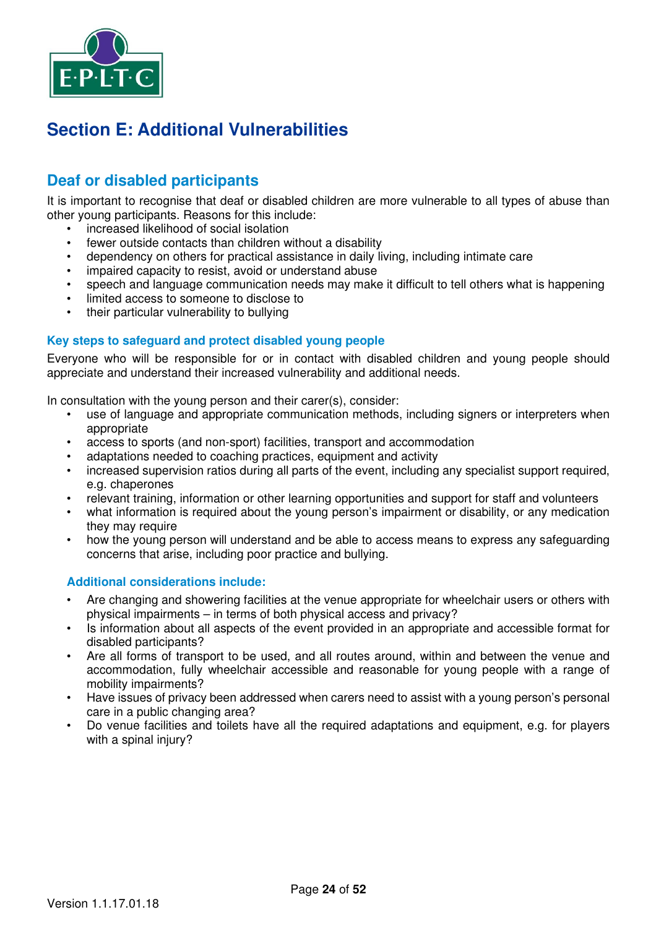

# **Section E: Additional Vulnerabilities**

## **Deaf or disabled participants**

It is important to recognise that deaf or disabled children are more vulnerable to all types of abuse than other young participants. Reasons for this include:

- increased likelihood of social isolation
- fewer outside contacts than children without a disability
- dependency on others for practical assistance in daily living, including intimate care
- impaired capacity to resist, avoid or understand abuse
- speech and language communication needs may make it difficult to tell others what is happening
- limited access to someone to disclose to
- their particular vulnerability to bullying

#### **Key steps to safeguard and protect disabled young people**

Everyone who will be responsible for or in contact with disabled children and young people should appreciate and understand their increased vulnerability and additional needs.

In consultation with the young person and their carer(s), consider:

- use of language and appropriate communication methods, including signers or interpreters when appropriate
- access to sports (and non-sport) facilities, transport and accommodation
- adaptations needed to coaching practices, equipment and activity
- increased supervision ratios during all parts of the event, including any specialist support required, e.g. chaperones
- relevant training, information or other learning opportunities and support for staff and volunteers
- what information is required about the young person's impairment or disability, or any medication they may require
- how the young person will understand and be able to access means to express any safeguarding concerns that arise, including poor practice and bullying.

#### **Additional considerations include:**

- Are changing and showering facilities at the venue appropriate for wheelchair users or others with physical impairments – in terms of both physical access and privacy?
- Is information about all aspects of the event provided in an appropriate and accessible format for disabled participants?
- Are all forms of transport to be used, and all routes around, within and between the venue and accommodation, fully wheelchair accessible and reasonable for young people with a range of mobility impairments?
- Have issues of privacy been addressed when carers need to assist with a young person's personal care in a public changing area?
- Do venue facilities and toilets have all the required adaptations and equipment, e.g. for players with a spinal injury?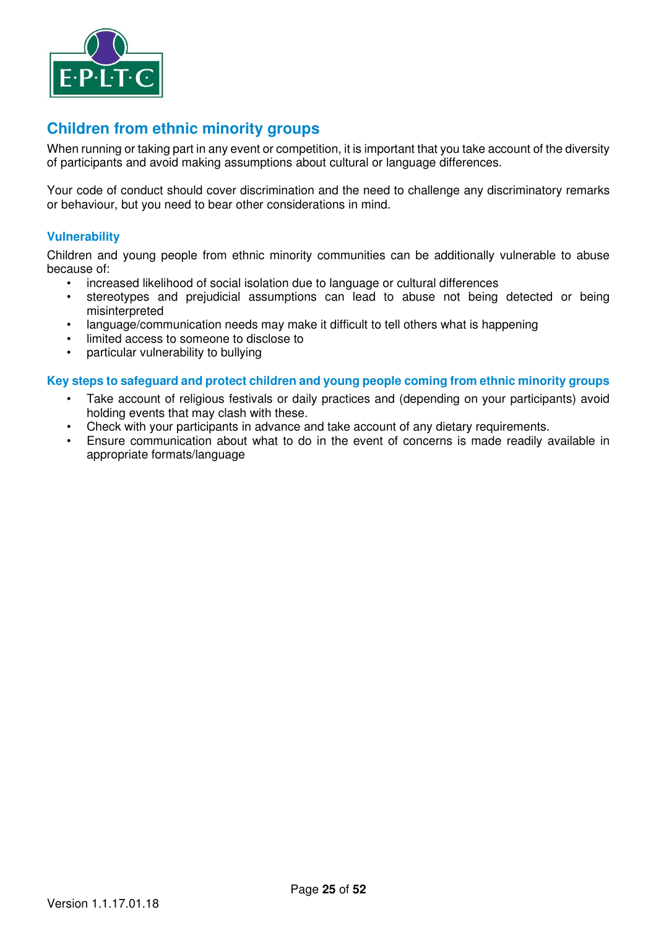

## **Children from ethnic minority groups**

When running or taking part in any event or competition, it is important that you take account of the diversity of participants and avoid making assumptions about cultural or language differences.

Your code of conduct should cover discrimination and the need to challenge any discriminatory remarks or behaviour, but you need to bear other considerations in mind.

#### **Vulnerability**

Children and young people from ethnic minority communities can be additionally vulnerable to abuse because of:

- increased likelihood of social isolation due to language or cultural differences
- stereotypes and prejudicial assumptions can lead to abuse not being detected or being misinterpreted
- language/communication needs may make it difficult to tell others what is happening
- limited access to someone to disclose to
- particular vulnerability to bullying

#### **Key steps to safeguard and protect children and young people coming from ethnic minority groups**

- Take account of religious festivals or daily practices and (depending on your participants) avoid holding events that may clash with these.
- Check with your participants in advance and take account of any dietary requirements.
- Ensure communication about what to do in the event of concerns is made readily available in appropriate formats/language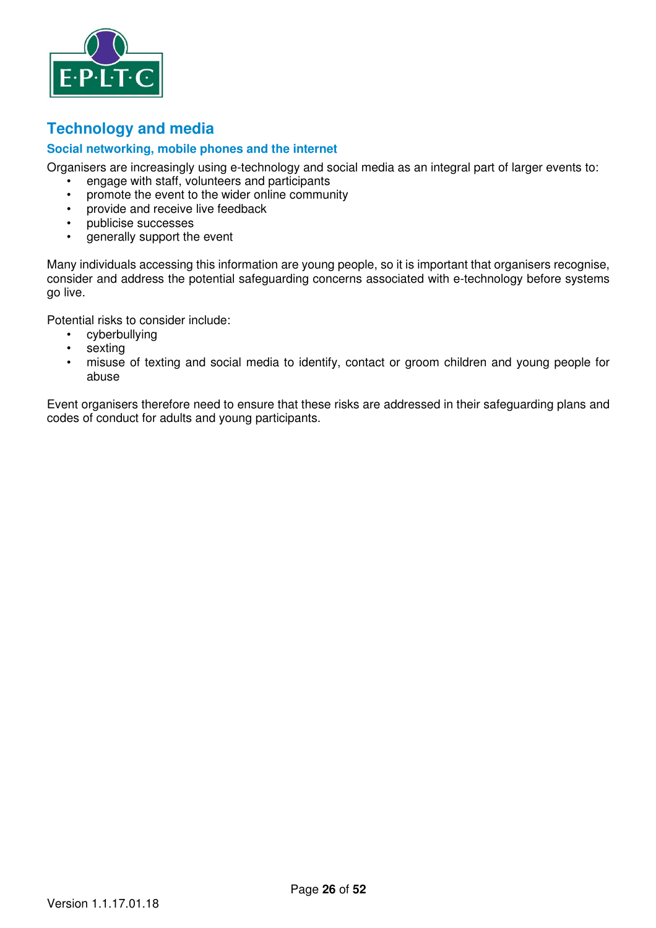

## **Technology and media**

#### **Social networking, mobile phones and the internet**

Organisers are increasingly using e-technology and social media as an integral part of larger events to:

- engage with staff, volunteers and participants
- promote the event to the wider online community
- provide and receive live feedback
- publicise successes
- generally support the event

Many individuals accessing this information are young people, so it is important that organisers recognise, consider and address the potential safeguarding concerns associated with e-technology before systems go live.

Potential risks to consider include:

- cyberbullying
- sexting
- misuse of texting and social media to identify, contact or groom children and young people for abuse

Event organisers therefore need to ensure that these risks are addressed in their safeguarding plans and codes of conduct for adults and young participants.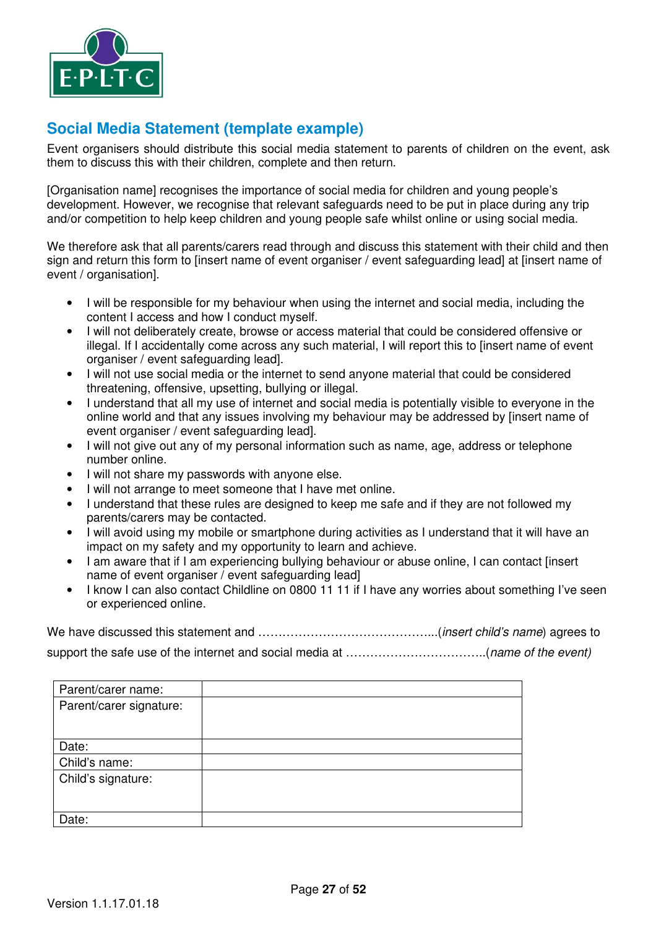

## **Social Media Statement (template example)**

Event organisers should distribute this social media statement to parents of children on the event, ask them to discuss this with their children, complete and then return.

[Organisation name] recognises the importance of social media for children and young people's development. However, we recognise that relevant safeguards need to be put in place during any trip and/or competition to help keep children and young people safe whilst online or using social media.

We therefore ask that all parents/carers read through and discuss this statement with their child and then sign and return this form to [insert name of event organiser / event safeguarding lead] at [insert name of event / organisation].

- I will be responsible for my behaviour when using the internet and social media, including the content I access and how I conduct myself.
- I will not deliberately create, browse or access material that could be considered offensive or illegal. If I accidentally come across any such material, I will report this to [insert name of event organiser / event safeguarding lead].
- I will not use social media or the internet to send anyone material that could be considered threatening, offensive, upsetting, bullying or illegal.
- I understand that all my use of internet and social media is potentially visible to everyone in the online world and that any issues involving my behaviour may be addressed by [insert name of event organiser / event safeguarding lead].
- I will not give out any of my personal information such as name, age, address or telephone number online.
- I will not share my passwords with anyone else.
- I will not arrange to meet someone that I have met online.
- I understand that these rules are designed to keep me safe and if they are not followed my parents/carers may be contacted.
- I will avoid using my mobile or smartphone during activities as I understand that it will have an impact on my safety and my opportunity to learn and achieve.
- I am aware that if I am experiencing bullying behaviour or abuse online, I can contact [insert name of event organiser / event safeguarding lead]
- I know I can also contact Childline on 0800 11 11 if I have any worries about something I've seen or experienced online.

We have discussed this statement and ……………………………………...(*insert child's name*) agrees to

support the safe use of the internet and social media at ……………………………..(*name of the event)*

| Parent/carer name:      |  |
|-------------------------|--|
| Parent/carer signature: |  |
|                         |  |
|                         |  |
| Date:                   |  |
| Child's name:           |  |
| Child's signature:      |  |
|                         |  |
|                         |  |
| Date:                   |  |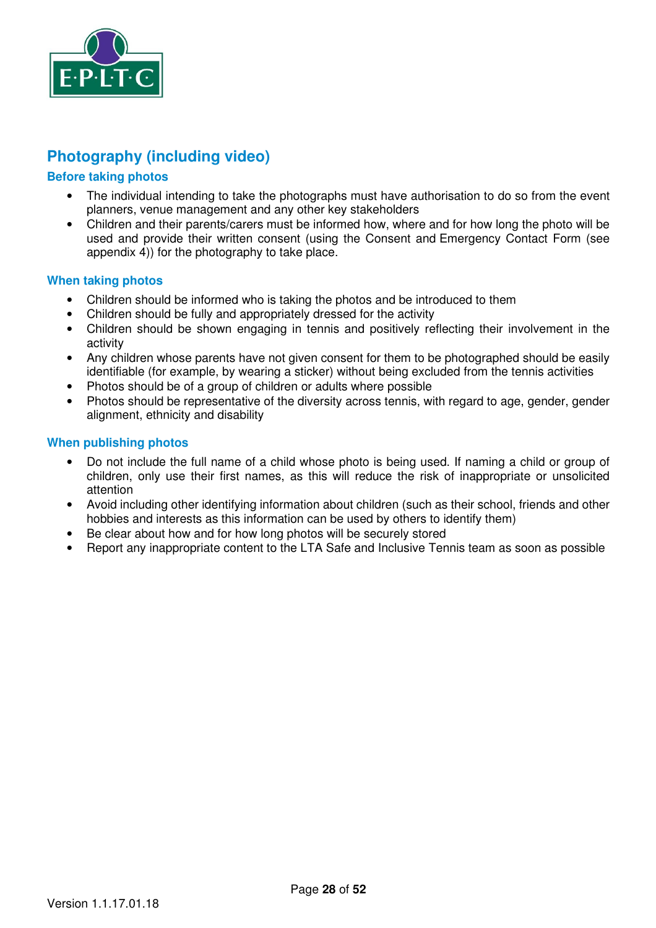

## **Photography (including video)**

#### **Before taking photos**

- The individual intending to take the photographs must have authorisation to do so from the event planners, venue management and any other key stakeholders
- Children and their parents/carers must be informed how, where and for how long the photo will be used and provide their written consent (using the Consent and Emergency Contact Form (see appendix 4)) for the photography to take place.

#### **When taking photos**

- Children should be informed who is taking the photos and be introduced to them
- Children should be fully and appropriately dressed for the activity
- Children should be shown engaging in tennis and positively reflecting their involvement in the activity
- Any children whose parents have not given consent for them to be photographed should be easily identifiable (for example, by wearing a sticker) without being excluded from the tennis activities
- Photos should be of a group of children or adults where possible
- Photos should be representative of the diversity across tennis, with regard to age, gender, gender alignment, ethnicity and disability

#### **When publishing photos**

- Do not include the full name of a child whose photo is being used. If naming a child or group of children, only use their first names, as this will reduce the risk of inappropriate or unsolicited attention
- Avoid including other identifying information about children (such as their school, friends and other hobbies and interests as this information can be used by others to identify them)
- Be clear about how and for how long photos will be securely stored
- Report any inappropriate content to the LTA Safe and Inclusive Tennis team as soon as possible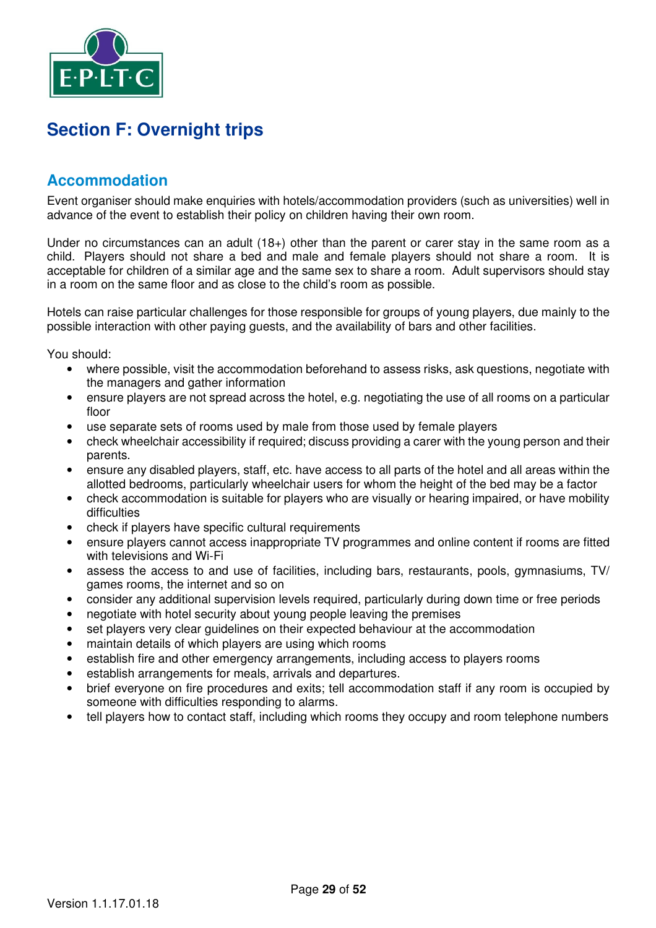

# **Section F: Overnight trips**

## **Accommodation**

Event organiser should make enquiries with hotels/accommodation providers (such as universities) well in advance of the event to establish their policy on children having their own room.

Under no circumstances can an adult (18+) other than the parent or carer stay in the same room as a child. Players should not share a bed and male and female players should not share a room. It is acceptable for children of a similar age and the same sex to share a room. Adult supervisors should stay in a room on the same floor and as close to the child's room as possible.

Hotels can raise particular challenges for those responsible for groups of young players, due mainly to the possible interaction with other paying guests, and the availability of bars and other facilities.

You should:

- where possible, visit the accommodation beforehand to assess risks, ask questions, negotiate with the managers and gather information
- ensure players are not spread across the hotel, e.g. negotiating the use of all rooms on a particular floor
- use separate sets of rooms used by male from those used by female players
- check wheelchair accessibility if required; discuss providing a carer with the young person and their parents.
- ensure any disabled players, staff, etc. have access to all parts of the hotel and all areas within the allotted bedrooms, particularly wheelchair users for whom the height of the bed may be a factor
- check accommodation is suitable for players who are visually or hearing impaired, or have mobility difficulties
- check if players have specific cultural requirements
- ensure players cannot access inappropriate TV programmes and online content if rooms are fitted with televisions and Wi-Fi
- assess the access to and use of facilities, including bars, restaurants, pools, gymnasiums, TV/ games rooms, the internet and so on
- consider any additional supervision levels required, particularly during down time or free periods
- negotiate with hotel security about young people leaving the premises
- set players very clear guidelines on their expected behaviour at the accommodation
- maintain details of which players are using which rooms
- establish fire and other emergency arrangements, including access to players rooms
- establish arrangements for meals, arrivals and departures.
- brief everyone on fire procedures and exits; tell accommodation staff if any room is occupied by someone with difficulties responding to alarms.
- tell players how to contact staff, including which rooms they occupy and room telephone numbers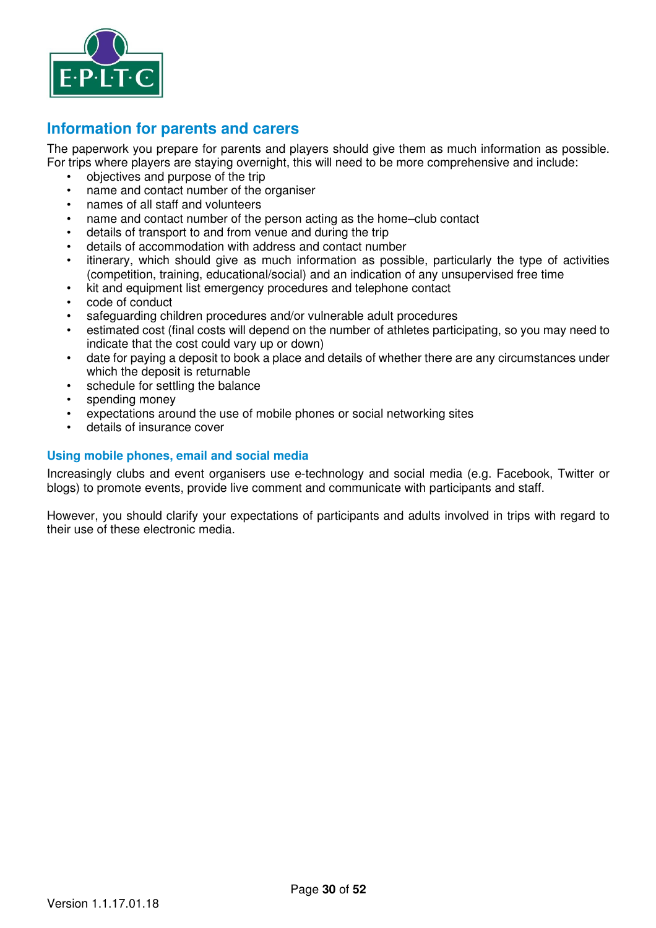

## **Information for parents and carers**

The paperwork you prepare for parents and players should give them as much information as possible. For trips where players are staying overnight, this will need to be more comprehensive and include:

- objectives and purpose of the trip
- name and contact number of the organiser
- names of all staff and volunteers
- name and contact number of the person acting as the home–club contact
- details of transport to and from venue and during the trip
- details of accommodation with address and contact number
- itinerary, which should give as much information as possible, particularly the type of activities (competition, training, educational/social) and an indication of any unsupervised free time
- kit and equipment list emergency procedures and telephone contact
- code of conduct
- safeguarding children procedures and/or vulnerable adult procedures
- estimated cost (final costs will depend on the number of athletes participating, so you may need to indicate that the cost could vary up or down)
- date for paying a deposit to book a place and details of whether there are any circumstances under which the deposit is returnable
- schedule for settling the balance
- spending money
- expectations around the use of mobile phones or social networking sites
- details of insurance cover

#### **Using mobile phones, email and social media**

Increasingly clubs and event organisers use e-technology and social media (e.g. Facebook, Twitter or blogs) to promote events, provide live comment and communicate with participants and staff.

However, you should clarify your expectations of participants and adults involved in trips with regard to their use of these electronic media.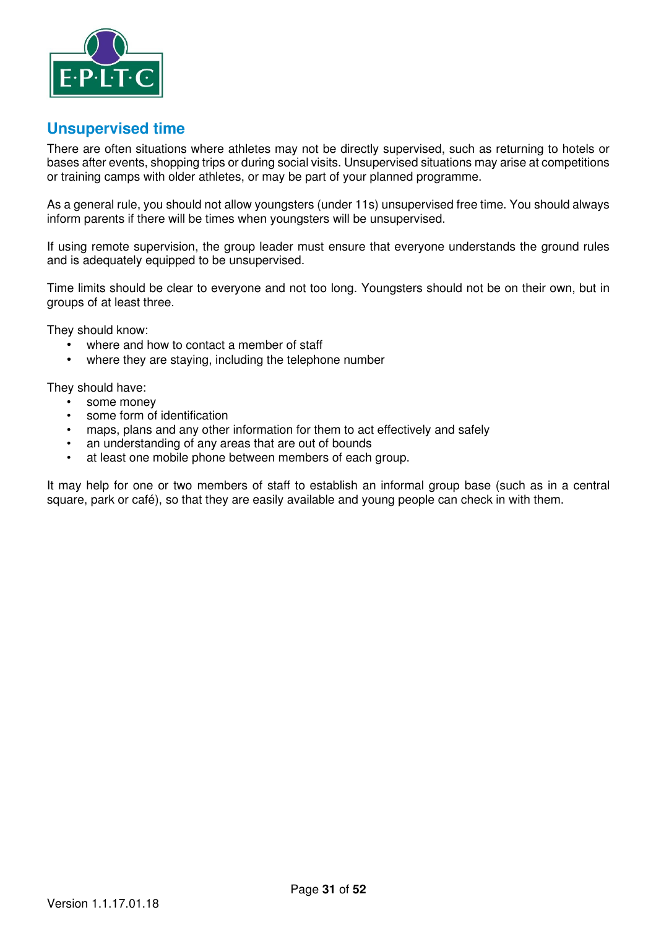

## **Unsupervised time**

There are often situations where athletes may not be directly supervised, such as returning to hotels or bases after events, shopping trips or during social visits. Unsupervised situations may arise at competitions or training camps with older athletes, or may be part of your planned programme.

As a general rule, you should not allow youngsters (under 11s) unsupervised free time. You should always inform parents if there will be times when youngsters will be unsupervised.

If using remote supervision, the group leader must ensure that everyone understands the ground rules and is adequately equipped to be unsupervised.

Time limits should be clear to everyone and not too long. Youngsters should not be on their own, but in groups of at least three.

They should know:

- where and how to contact a member of staff
- where they are staying, including the telephone number

They should have:

- some money
	- some form of identification
	- maps, plans and any other information for them to act effectively and safely
	- an understanding of any areas that are out of bounds
	- at least one mobile phone between members of each group.

It may help for one or two members of staff to establish an informal group base (such as in a central square, park or café), so that they are easily available and young people can check in with them.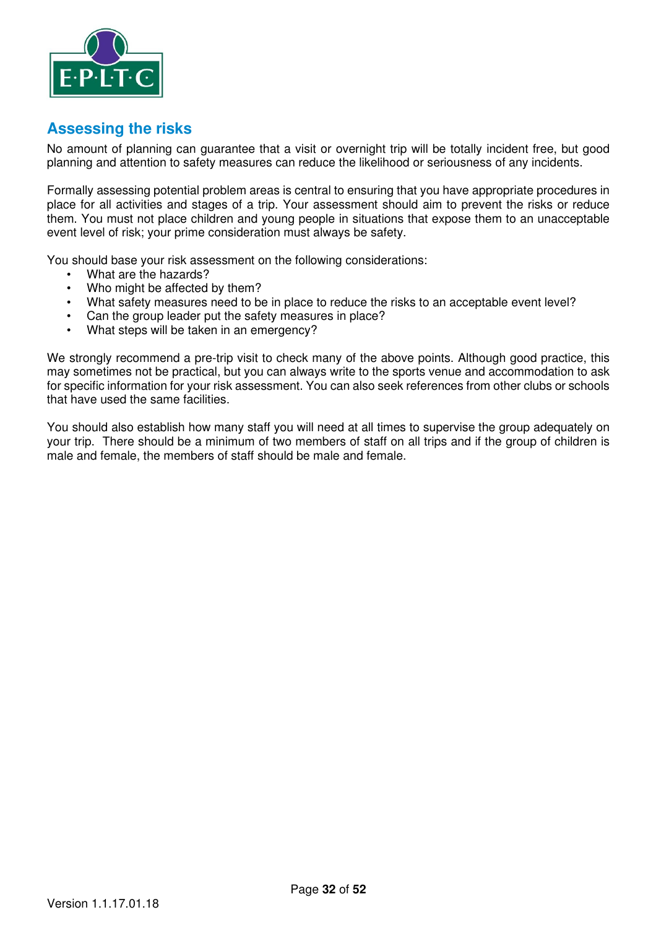

## **Assessing the risks**

No amount of planning can guarantee that a visit or overnight trip will be totally incident free, but good planning and attention to safety measures can reduce the likelihood or seriousness of any incidents.

Formally assessing potential problem areas is central to ensuring that you have appropriate procedures in place for all activities and stages of a trip. Your assessment should aim to prevent the risks or reduce them. You must not place children and young people in situations that expose them to an unacceptable event level of risk; your prime consideration must always be safety.

You should base your risk assessment on the following considerations:

- What are the hazards?
- Who might be affected by them?
- What safety measures need to be in place to reduce the risks to an acceptable event level?
- Can the group leader put the safety measures in place?
- What steps will be taken in an emergency?

We strongly recommend a pre-trip visit to check many of the above points. Although good practice, this may sometimes not be practical, but you can always write to the sports venue and accommodation to ask for specific information for your risk assessment. You can also seek references from other clubs or schools that have used the same facilities.

You should also establish how many staff you will need at all times to supervise the group adequately on your trip. There should be a minimum of two members of staff on all trips and if the group of children is male and female, the members of staff should be male and female.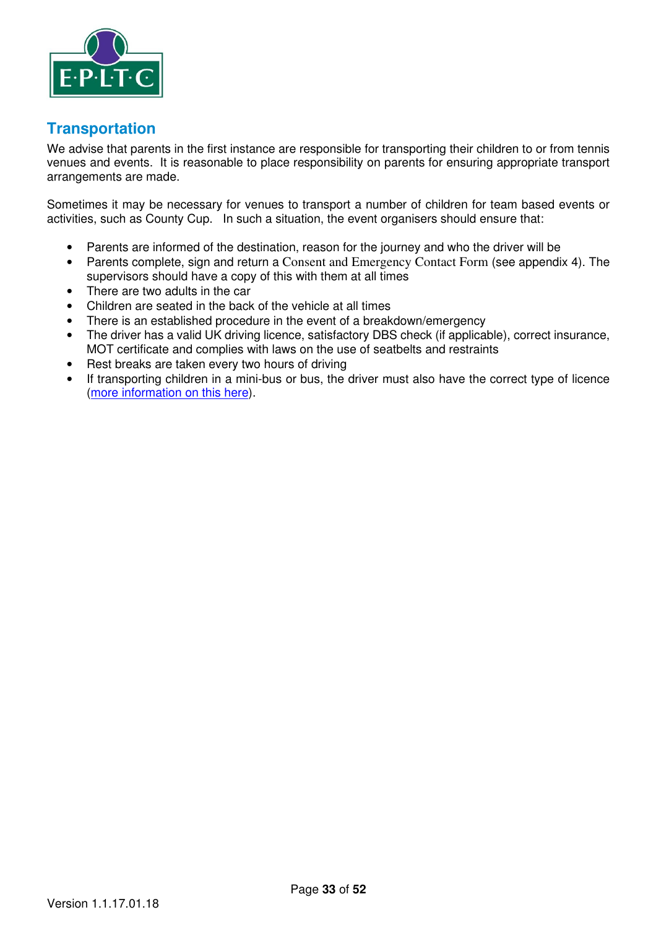

## **Transportation**

We advise that parents in the first instance are responsible for transporting their children to or from tennis venues and events. It is reasonable to place responsibility on parents for ensuring appropriate transport arrangements are made.

Sometimes it may be necessary for venues to transport a number of children for team based events or activities, such as County Cup. In such a situation, the event organisers should ensure that:

- Parents are informed of the destination, reason for the journey and who the driver will be
- Parents complete, sign and return a Consent and Emergency Contact Form (see appendix 4). The supervisors should have a copy of this with them at all times
- There are two adults in the car
- Children are seated in the back of the vehicle at all times
- There is an established procedure in the event of a breakdown/emergency
- The driver has a valid UK driving licence, satisfactory DBS check (if applicable), correct insurance, MOT certificate and complies with laws on the use of seatbelts and restraints
- Rest breaks are taken every two hours of driving
- If transporting children in a mini-bus or bus, the driver must also have the correct type of licence (more information on this here).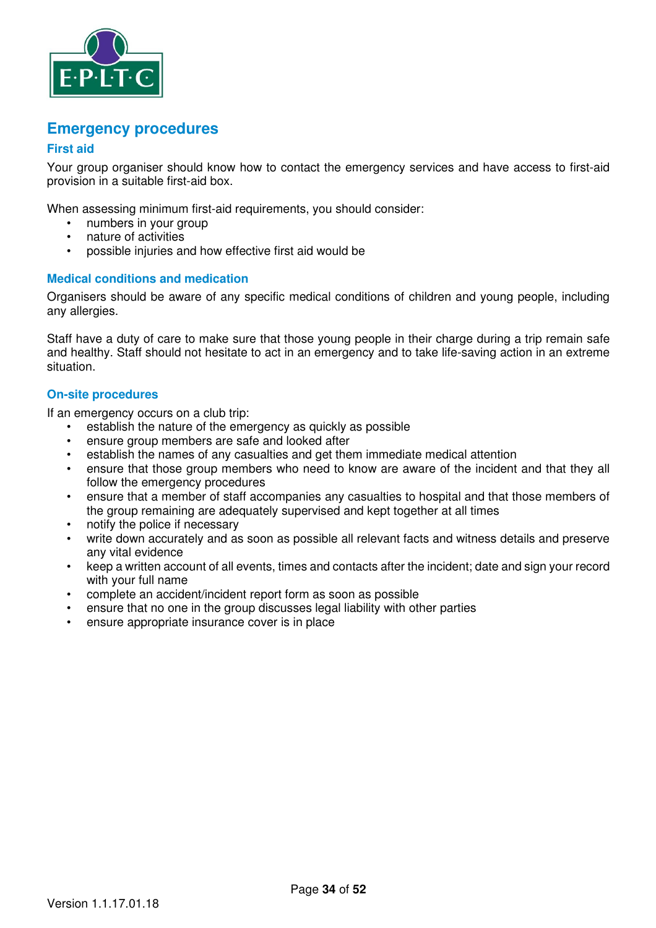

## **Emergency procedures**

#### **First aid**

Your group organiser should know how to contact the emergency services and have access to first-aid provision in a suitable first-aid box.

When assessing minimum first-aid requirements, you should consider:

- numbers in your group
- nature of activities
- possible injuries and how effective first aid would be

#### **Medical conditions and medication**

Organisers should be aware of any specific medical conditions of children and young people, including any allergies.

Staff have a duty of care to make sure that those young people in their charge during a trip remain safe and healthy. Staff should not hesitate to act in an emergency and to take life-saving action in an extreme situation.

#### **On-site procedures**

If an emergency occurs on a club trip:

- establish the nature of the emergency as quickly as possible
- ensure group members are safe and looked after
- establish the names of any casualties and get them immediate medical attention
- ensure that those group members who need to know are aware of the incident and that they all follow the emergency procedures
- ensure that a member of staff accompanies any casualties to hospital and that those members of the group remaining are adequately supervised and kept together at all times
- notify the police if necessary
- write down accurately and as soon as possible all relevant facts and witness details and preserve any vital evidence
- keep a written account of all events, times and contacts after the incident; date and sign your record with your full name
- complete an accident/incident report form as soon as possible
- ensure that no one in the group discusses legal liability with other parties
- ensure appropriate insurance cover is in place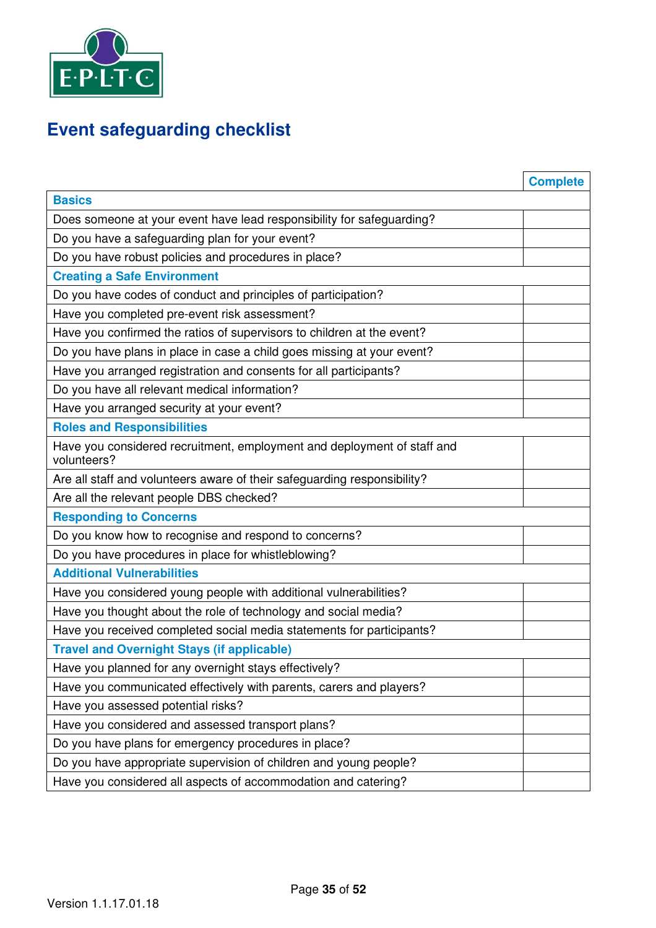

# **Event safeguarding checklist**

|                                                                                        | <b>Complete</b> |
|----------------------------------------------------------------------------------------|-----------------|
| <b>Basics</b>                                                                          |                 |
| Does someone at your event have lead responsibility for safeguarding?                  |                 |
| Do you have a safeguarding plan for your event?                                        |                 |
| Do you have robust policies and procedures in place?                                   |                 |
| <b>Creating a Safe Environment</b>                                                     |                 |
| Do you have codes of conduct and principles of participation?                          |                 |
| Have you completed pre-event risk assessment?                                          |                 |
| Have you confirmed the ratios of supervisors to children at the event?                 |                 |
| Do you have plans in place in case a child goes missing at your event?                 |                 |
| Have you arranged registration and consents for all participants?                      |                 |
| Do you have all relevant medical information?                                          |                 |
| Have you arranged security at your event?                                              |                 |
| <b>Roles and Responsibilities</b>                                                      |                 |
| Have you considered recruitment, employment and deployment of staff and<br>volunteers? |                 |
| Are all staff and volunteers aware of their safeguarding responsibility?               |                 |
| Are all the relevant people DBS checked?                                               |                 |
| <b>Responding to Concerns</b>                                                          |                 |
| Do you know how to recognise and respond to concerns?                                  |                 |
| Do you have procedures in place for whistleblowing?                                    |                 |
| <b>Additional Vulnerabilities</b>                                                      |                 |
| Have you considered young people with additional vulnerabilities?                      |                 |
| Have you thought about the role of technology and social media?                        |                 |
| Have you received completed social media statements for participants?                  |                 |
| <b>Travel and Overnight Stays (if applicable)</b>                                      |                 |
| Have you planned for any overnight stays effectively?                                  |                 |
| Have you communicated effectively with parents, carers and players?                    |                 |
| Have you assessed potential risks?                                                     |                 |
| Have you considered and assessed transport plans?                                      |                 |
| Do you have plans for emergency procedures in place?                                   |                 |
| Do you have appropriate supervision of children and young people?                      |                 |
| Have you considered all aspects of accommodation and catering?                         |                 |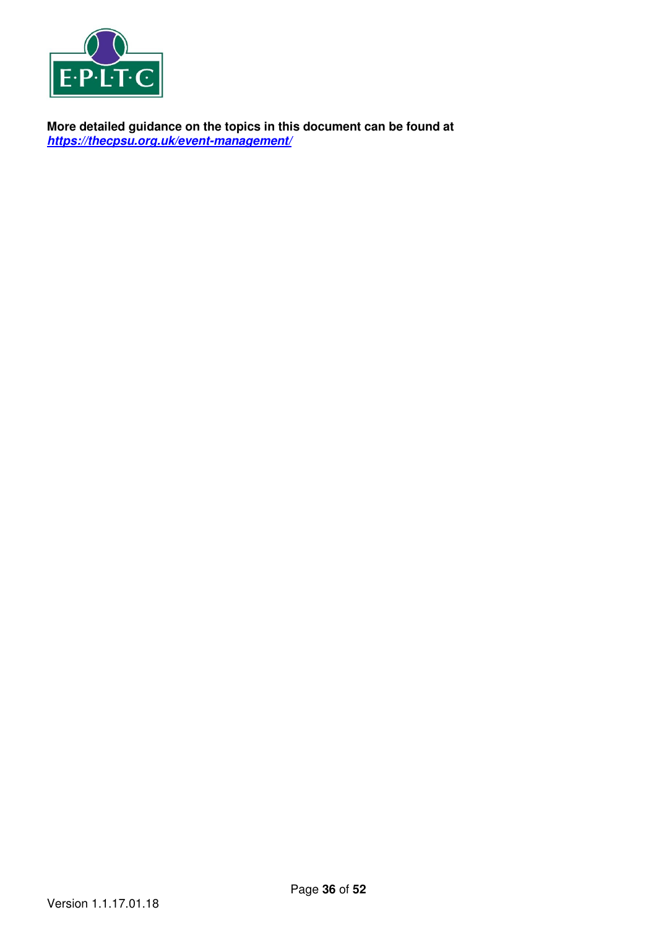

**More detailed guidance on the topics in this document can be found at**  *https://thecpsu.org.uk/event-management/*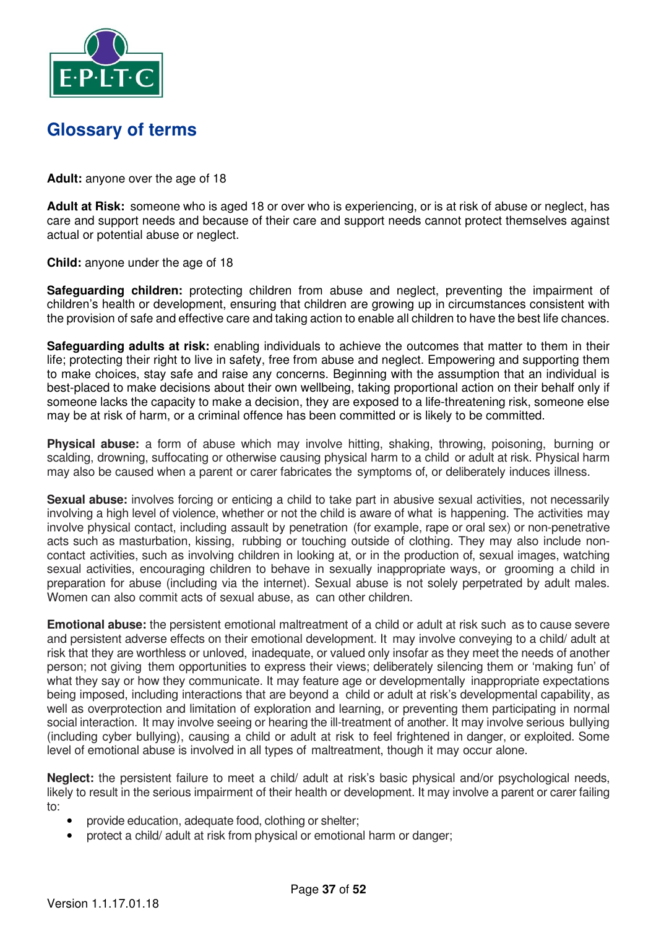

## **Glossary of terms**

**Adult:** anyone over the age of 18

**Adult at Risk:** someone who is aged 18 or over who is experiencing, or is at risk of abuse or neglect, has care and support needs and because of their care and support needs cannot protect themselves against actual or potential abuse or neglect.

**Child:** anyone under the age of 18

**Safeguarding children:** protecting children from abuse and neglect, preventing the impairment of children's health or development, ensuring that children are growing up in circumstances consistent with the provision of safe and effective care and taking action to enable all children to have the best life chances.

**Safeguarding adults at risk:** enabling individuals to achieve the outcomes that matter to them in their life; protecting their right to live in safety, free from abuse and neglect. Empowering and supporting them to make choices, stay safe and raise any concerns. Beginning with the assumption that an individual is best-placed to make decisions about their own wellbeing, taking proportional action on their behalf only if someone lacks the capacity to make a decision, they are exposed to a life-threatening risk, someone else may be at risk of harm, or a criminal offence has been committed or is likely to be committed.

**Physical abuse:** a form of abuse which may involve hitting, shaking, throwing, poisoning, burning or scalding, drowning, suffocating or otherwise causing physical harm to a child or adult at risk. Physical harm may also be caused when a parent or carer fabricates the symptoms of, or deliberately induces illness.

**Sexual abuse:** involves forcing or enticing a child to take part in abusive sexual activities, not necessarily involving a high level of violence, whether or not the child is aware of what is happening. The activities may involve physical contact, including assault by penetration (for example, rape or oral sex) or non-penetrative acts such as masturbation, kissing, rubbing or touching outside of clothing. They may also include noncontact activities, such as involving children in looking at, or in the production of, sexual images, watching sexual activities, encouraging children to behave in sexually inappropriate ways, or grooming a child in preparation for abuse (including via the internet). Sexual abuse is not solely perpetrated by adult males. Women can also commit acts of sexual abuse, as can other children.

**Emotional abuse:** the persistent emotional maltreatment of a child or adult at risk such as to cause severe and persistent adverse effects on their emotional development. It may involve conveying to a child/ adult at risk that they are worthless or unloved, inadequate, or valued only insofar as they meet the needs of another person; not giving them opportunities to express their views; deliberately silencing them or 'making fun' of what they say or how they communicate. It may feature age or developmentally inappropriate expectations being imposed, including interactions that are beyond a child or adult at risk's developmental capability, as well as overprotection and limitation of exploration and learning, or preventing them participating in normal social interaction. It may involve seeing or hearing the ill-treatment of another. It may involve serious bullying (including cyber bullying), causing a child or adult at risk to feel frightened in danger, or exploited. Some level of emotional abuse is involved in all types of maltreatment, though it may occur alone.

**Neglect:** the persistent failure to meet a child/ adult at risk's basic physical and/or psychological needs, likely to result in the serious impairment of their health or development. It may involve a parent or carer failing to:

- provide education, adequate food, clothing or shelter;
- protect a child/ adult at risk from physical or emotional harm or danger;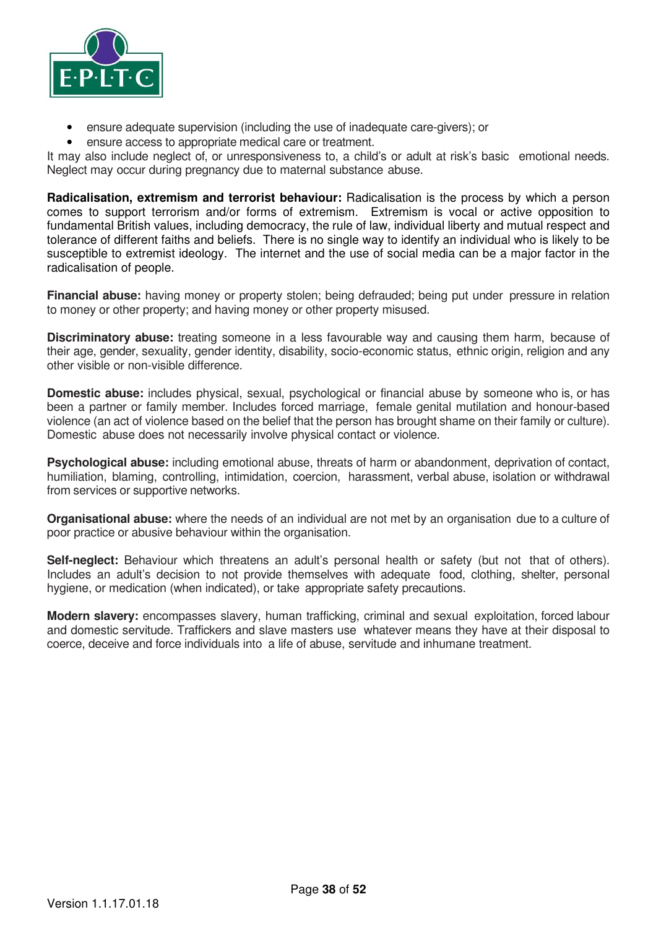

- ensure adequate supervision (including the use of inadequate care-givers); or
- ensure access to appropriate medical care or treatment.

It may also include neglect of, or unresponsiveness to, a child's or adult at risk's basic emotional needs. Neglect may occur during pregnancy due to maternal substance abuse.

**Radicalisation, extremism and terrorist behaviour:** Radicalisation is the process by which a person comes to support terrorism and/or forms of extremism. Extremism is vocal or active opposition to fundamental British values, including democracy, the rule of law, individual liberty and mutual respect and tolerance of different faiths and beliefs. There is no single way to identify an individual who is likely to be susceptible to extremist ideology. The internet and the use of social media can be a major factor in the radicalisation of people.

**Financial abuse:** having money or property stolen; being defrauded; being put under pressure in relation to money or other property; and having money or other property misused.

**Discriminatory abuse:** treating someone in a less favourable way and causing them harm, because of their age, gender, sexuality, gender identity, disability, socio-economic status, ethnic origin, religion and any other visible or non-visible difference.

**Domestic abuse:** includes physical, sexual, psychological or financial abuse by someone who is, or has been a partner or family member. Includes forced marriage, female genital mutilation and honour-based violence (an act of violence based on the belief that the person has brought shame on their family or culture). Domestic abuse does not necessarily involve physical contact or violence.

**Psychological abuse:** including emotional abuse, threats of harm or abandonment, deprivation of contact, humiliation, blaming, controlling, intimidation, coercion, harassment, verbal abuse, isolation or withdrawal from services or supportive networks.

**Organisational abuse:** where the needs of an individual are not met by an organisation due to a culture of poor practice or abusive behaviour within the organisation.

**Self-neglect:** Behaviour which threatens an adult's personal health or safety (but not that of others). Includes an adult's decision to not provide themselves with adequate food, clothing, shelter, personal hygiene, or medication (when indicated), or take appropriate safety precautions.

**Modern slavery:** encompasses slavery, human trafficking, criminal and sexual exploitation, forced labour and domestic servitude. Traffickers and slave masters use whatever means they have at their disposal to coerce, deceive and force individuals into a life of abuse, servitude and inhumane treatment.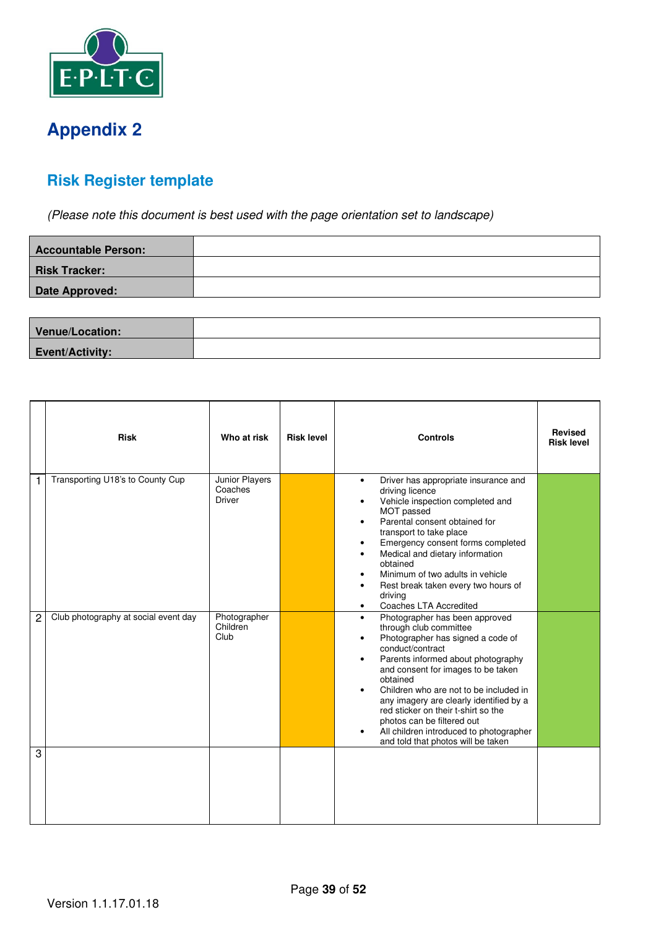

# **Appendix 2**

# **Risk Register template**

*(Please note this document is best used with the page orientation set to landscape)* 

| <b>Accountable Person:</b> |  |
|----------------------------|--|
| <b>Risk Tracker:</b>       |  |
| Date Approved:             |  |
|                            |  |

| Venue/Location:        |  |
|------------------------|--|
| <b>Event/Activity:</b> |  |

|   | <b>Risk</b>                          | Who at risk                                | <b>Risk level</b> | <b>Controls</b>                                                                                                                                                                                                                                                                                                                                                                                                                                                                                                       | Revised<br><b>Risk level</b> |
|---|--------------------------------------|--------------------------------------------|-------------------|-----------------------------------------------------------------------------------------------------------------------------------------------------------------------------------------------------------------------------------------------------------------------------------------------------------------------------------------------------------------------------------------------------------------------------------------------------------------------------------------------------------------------|------------------------------|
| 1 | Transporting U18's to County Cup     | Junior Players<br>Coaches<br><b>Driver</b> |                   | Driver has appropriate insurance and<br>$\bullet$<br>driving licence<br>Vehicle inspection completed and<br>$\bullet$<br>MOT passed<br>Parental consent obtained for<br>$\bullet$<br>transport to take place<br>Emergency consent forms completed<br>$\bullet$<br>Medical and dietary information<br>$\bullet$<br>obtained<br>Minimum of two adults in vehicle<br>$\bullet$<br>Rest break taken every two hours of<br>$\bullet$<br>driving<br>Coaches LTA Accredited<br>$\bullet$                                     |                              |
| 2 | Club photography at social event day | Photographer<br>Children<br>Club           |                   | Photographer has been approved<br>$\bullet$<br>through club committee<br>Photographer has signed a code of<br>$\bullet$<br>conduct/contract<br>Parents informed about photography<br>$\bullet$<br>and consent for images to be taken<br>obtained<br>Children who are not to be included in<br>$\bullet$<br>any imagery are clearly identified by a<br>red sticker on their t-shirt so the<br>photos can be filtered out<br>All children introduced to photographer<br>$\bullet$<br>and told that photos will be taken |                              |
| 3 |                                      |                                            |                   |                                                                                                                                                                                                                                                                                                                                                                                                                                                                                                                       |                              |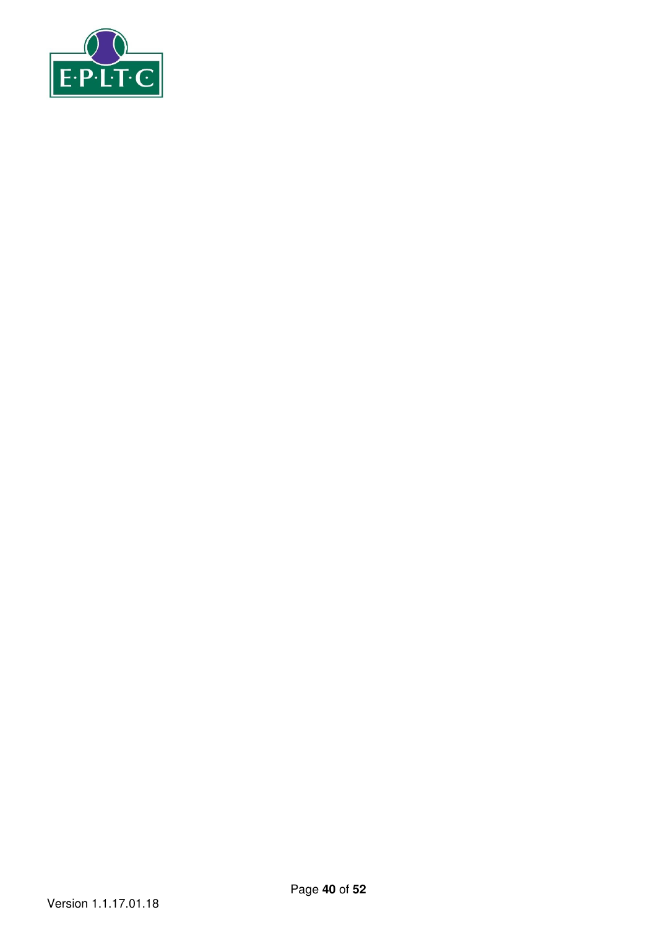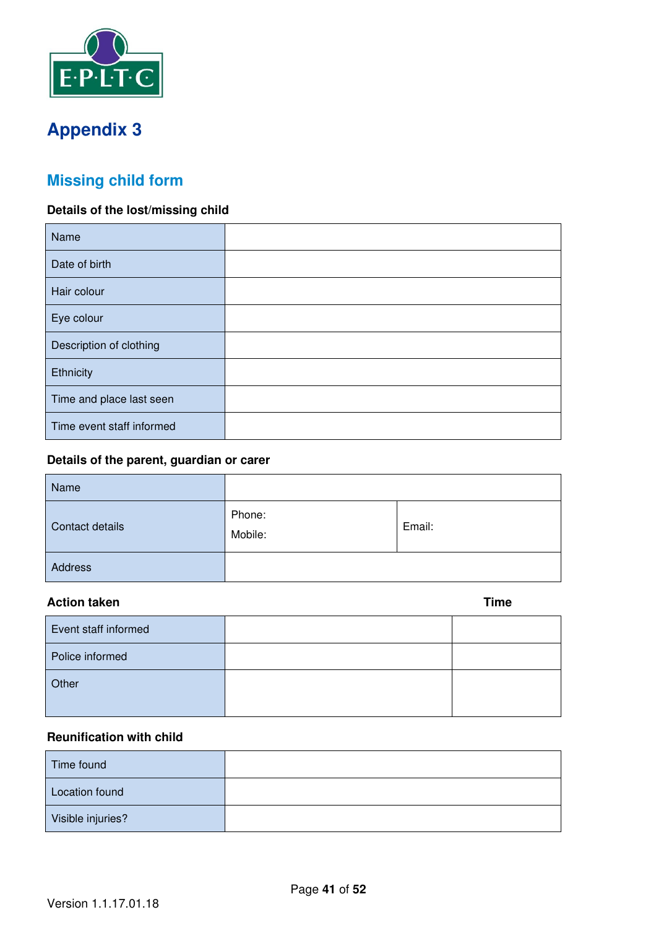

# **Appendix 3**

# **Missing child form**

#### **Details of the lost/missing child**

| Name                      |  |
|---------------------------|--|
| Date of birth             |  |
| Hair colour               |  |
| Eye colour                |  |
| Description of clothing   |  |
| Ethnicity                 |  |
| Time and place last seen  |  |
| Time event staff informed |  |

#### **Details of the parent, guardian or carer**

| Name            |                   |        |
|-----------------|-------------------|--------|
| Contact details | Phone:<br>Mobile: | Email: |
| Address         |                   |        |

#### **Action taken** Time

| Event staff informed |  |
|----------------------|--|
| Police informed      |  |
| Other                |  |

#### **Reunification with child**

| Time found        |  |
|-------------------|--|
| Location found    |  |
| Visible injuries? |  |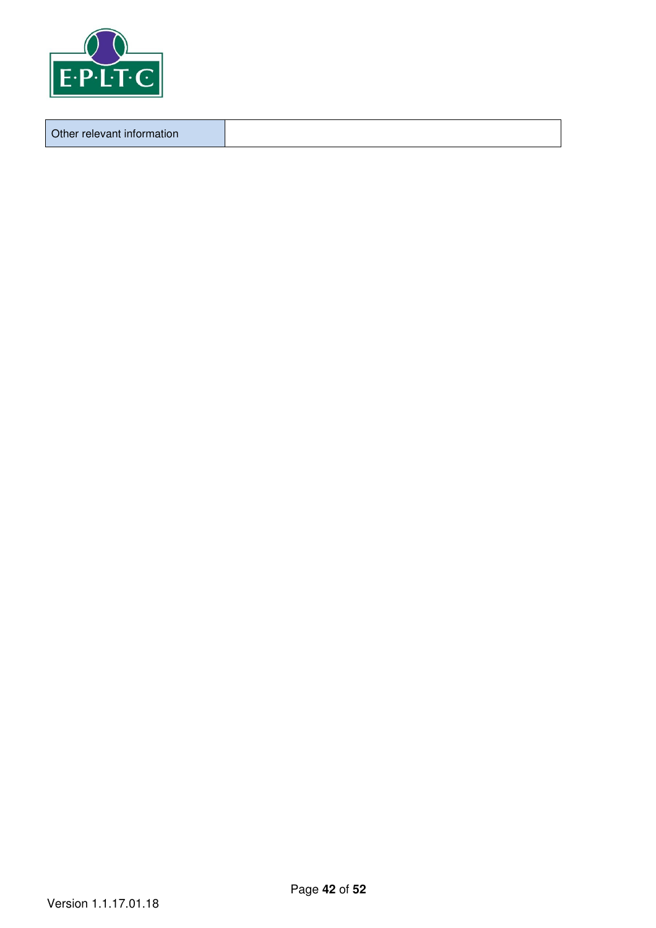

Other relevant information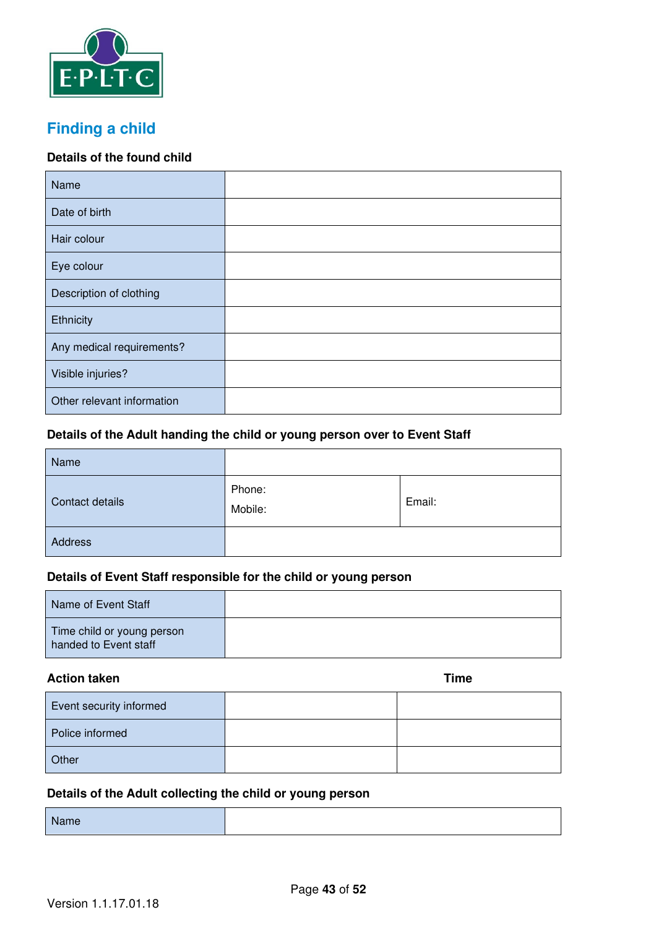

## **Finding a child**

#### **Details of the found child**

| Name                       |  |
|----------------------------|--|
| Date of birth              |  |
| Hair colour                |  |
| Eye colour                 |  |
| Description of clothing    |  |
| Ethnicity                  |  |
| Any medical requirements?  |  |
| Visible injuries?          |  |
| Other relevant information |  |

### **Details of the Adult handing the child or young person over to Event Staff**

| Name            |                   |        |
|-----------------|-------------------|--------|
| Contact details | Phone:<br>Mobile: | Email: |
| Address         |                   |        |

#### **Details of Event Staff responsible for the child or young person**

| Name of Event Staff                                 |  |
|-----------------------------------------------------|--|
| Time child or young person<br>handed to Event staff |  |

#### **Action taken** Time

| Event security informed |  |
|-------------------------|--|
| Police informed         |  |
| Other                   |  |

#### **Details of the Adult collecting the child or young person**

| vame |  |
|------|--|
|------|--|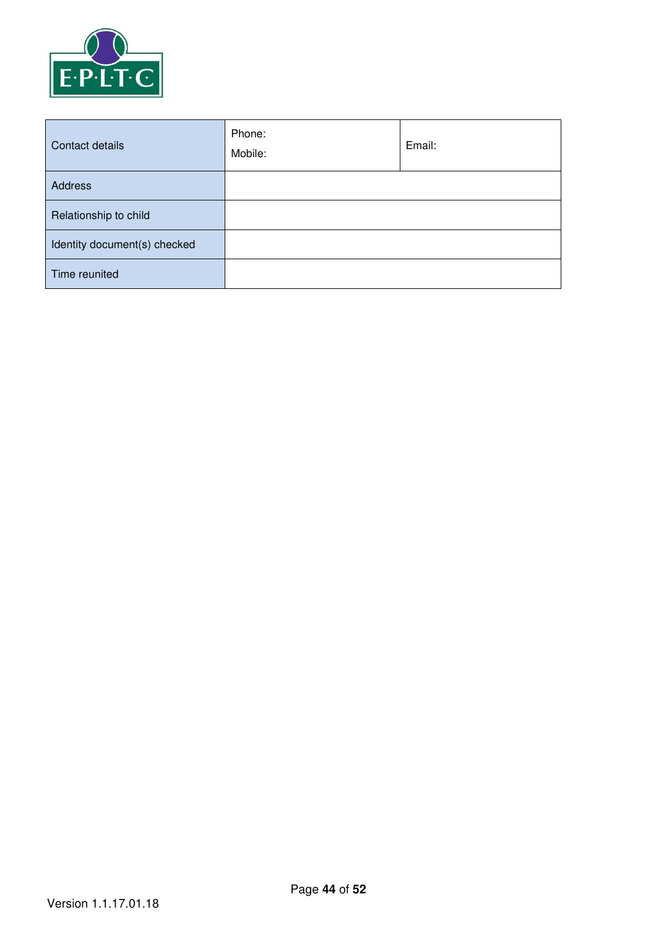

| Contact details              | Phone:<br>Mobile: | Email: |
|------------------------------|-------------------|--------|
| <b>Address</b>               |                   |        |
| Relationship to child        |                   |        |
| Identity document(s) checked |                   |        |
| Time reunited                |                   |        |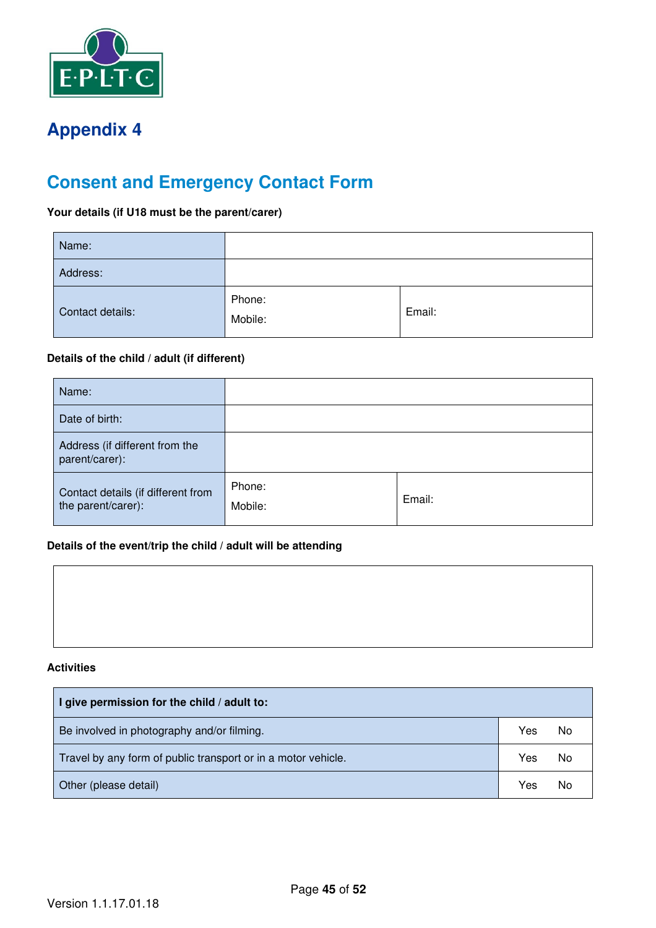

# **Appendix 4**

# **Consent and Emergency Contact Form**

#### **Your details (if U18 must be the parent/carer)**

| Name:            |                   |        |
|------------------|-------------------|--------|
| Address:         |                   |        |
| Contact details: | Phone:<br>Mobile: | Email: |

### **Details of the child / adult (if different)**

| Name:                                                    |                   |        |
|----------------------------------------------------------|-------------------|--------|
| Date of birth:                                           |                   |        |
| Address (if different from the<br>parent/carer):         |                   |        |
| Contact details (if different from<br>the parent/carer): | Phone:<br>Mobile: | Email: |

#### **Details of the event/trip the child / adult will be attending**



#### **Activities**

| I give permission for the child / adult to:                   |     |    |
|---------------------------------------------------------------|-----|----|
| Be involved in photography and/or filming.                    | Yes | No |
| Travel by any form of public transport or in a motor vehicle. |     | No |
| Other (please detail)                                         | Yes | No |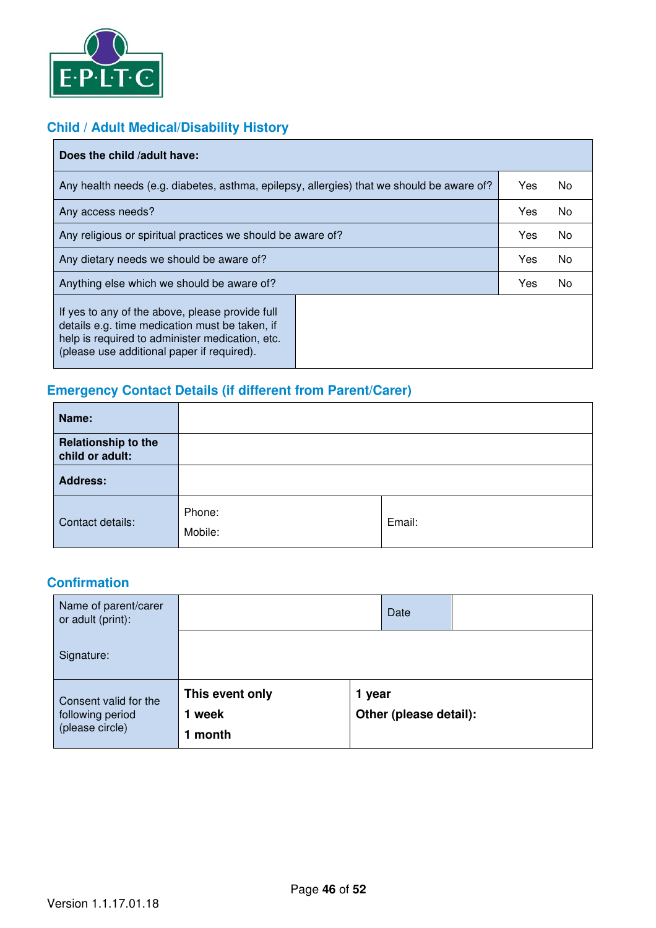

## **Child / Adult Medical/Disability History**

| Does the child /adult have:                                                                                                                                                                        |  |      |     |  |
|----------------------------------------------------------------------------------------------------------------------------------------------------------------------------------------------------|--|------|-----|--|
| Any health needs (e.g. diabetes, asthma, epilepsy, allergies) that we should be aware of?                                                                                                          |  | Yes  | No. |  |
| Any access needs?                                                                                                                                                                                  |  | Yes  | No. |  |
| Any religious or spiritual practices we should be aware of?                                                                                                                                        |  | Yes  | No. |  |
| Any dietary needs we should be aware of?                                                                                                                                                           |  | Yes. | No  |  |
| Anything else which we should be aware of?                                                                                                                                                         |  | Yes  | No  |  |
| If yes to any of the above, please provide full<br>details e.g. time medication must be taken, if<br>help is required to administer medication, etc.<br>(please use additional paper if required). |  |      |     |  |

### **Emergency Contact Details (if different from Parent/Carer)**

| Name:                                  |                   |        |
|----------------------------------------|-------------------|--------|
| Relationship to the<br>child or adult: |                   |        |
| <b>Address:</b>                        |                   |        |
| Contact details:                       | Phone:<br>Mobile: | Email: |

## **Confirmation**

| Name of parent/carer<br>or adult (print):                    |                                      |        | Date                   |  |
|--------------------------------------------------------------|--------------------------------------|--------|------------------------|--|
| Signature:                                                   |                                      |        |                        |  |
| Consent valid for the<br>following period<br>(please circle) | This event only<br>∣ week<br>1 month | 1 year | Other (please detail): |  |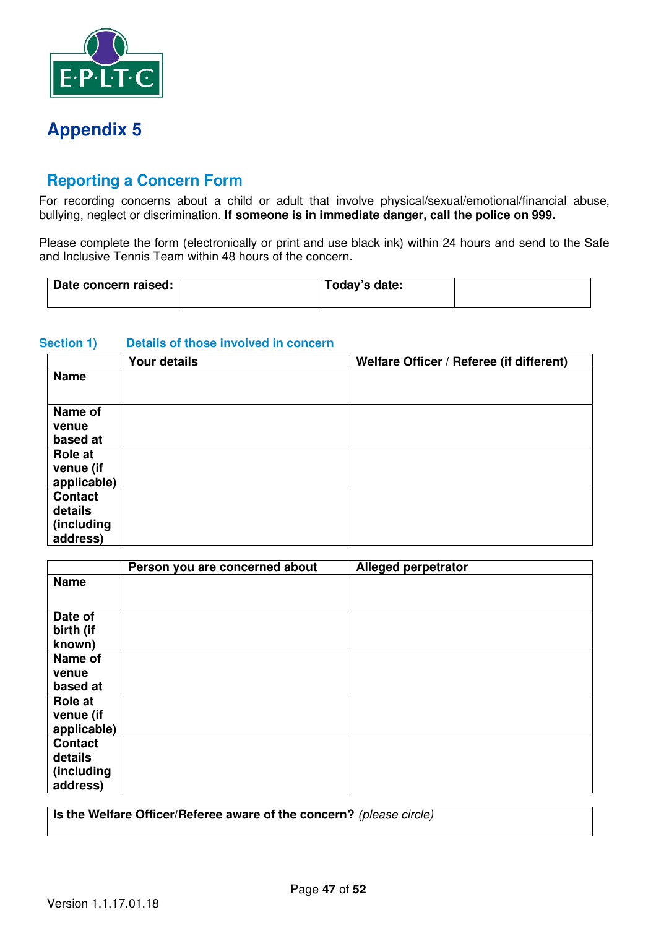

# **Appendix 5**

## **Reporting a Concern Form**

For recording concerns about a child or adult that involve physical/sexual/emotional/financial abuse, bullying, neglect or discrimination. **If someone is in immediate danger, call the police on 999.**

Please complete the form (electronically or print and use black ink) within 24 hours and send to the Safe and Inclusive Tennis Team within 48 hours of the concern.

| Date concern raised: | Today's date: |  |
|----------------------|---------------|--|
|                      |               |  |

#### **Section 1) Details of those involved in concern**

|                | <b>Your details</b> | Welfare Officer / Referee (if different) |
|----------------|---------------------|------------------------------------------|
| <b>Name</b>    |                     |                                          |
| Name of        |                     |                                          |
| venue          |                     |                                          |
| based at       |                     |                                          |
| Role at        |                     |                                          |
| venue (if      |                     |                                          |
| applicable)    |                     |                                          |
| <b>Contact</b> |                     |                                          |
| details        |                     |                                          |
| (including     |                     |                                          |
| address)       |                     |                                          |

|                | Person you are concerned about | <b>Alleged perpetrator</b> |
|----------------|--------------------------------|----------------------------|
| <b>Name</b>    |                                |                            |
|                |                                |                            |
| Date of        |                                |                            |
| birth (if      |                                |                            |
| known)         |                                |                            |
| Name of        |                                |                            |
| venue          |                                |                            |
| based at       |                                |                            |
| Role at        |                                |                            |
| venue (if      |                                |                            |
| applicable)    |                                |                            |
| <b>Contact</b> |                                |                            |
| details        |                                |                            |
| (including     |                                |                            |
| address)       |                                |                            |

**Is the Welfare Officer/Referee aware of the concern?** *(please circle)*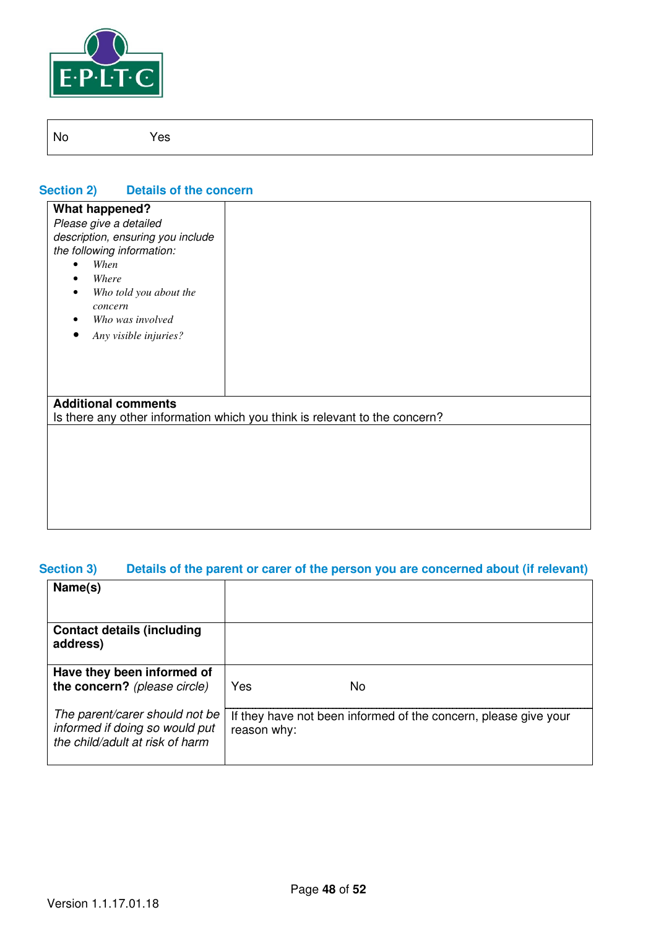

No Yes

#### **Section 2) Details of the concern**

| <b>What happened?</b>              |                                                                            |
|------------------------------------|----------------------------------------------------------------------------|
| Please give a detailed             |                                                                            |
| description, ensuring you include  |                                                                            |
| the following information:         |                                                                            |
| When<br>$\bullet$                  |                                                                            |
| Where                              |                                                                            |
| Who told you about the             |                                                                            |
| concern                            |                                                                            |
| Who was involved                   |                                                                            |
| Any visible injuries?<br>$\bullet$ |                                                                            |
|                                    |                                                                            |
|                                    |                                                                            |
|                                    |                                                                            |
|                                    |                                                                            |
| <b>Additional comments</b>         |                                                                            |
|                                    | Is there any other information which you think is relevant to the concern? |
|                                    |                                                                            |
|                                    |                                                                            |
|                                    |                                                                            |
|                                    |                                                                            |
|                                    |                                                                            |
|                                    |                                                                            |
|                                    |                                                                            |
|                                    |                                                                            |

#### Section 3) Details of the parent or carer of the person you are concerned about (if relevant)

| Name(s)                                                                                             |                                                                                |
|-----------------------------------------------------------------------------------------------------|--------------------------------------------------------------------------------|
| <b>Contact details (including</b><br>address)                                                       |                                                                                |
| Have they been informed of<br>the concern? (please circle)                                          | Yes<br>No                                                                      |
| The parent/carer should not be<br>informed if doing so would put<br>the child/adult at risk of harm | If they have not been informed of the concern, please give your<br>reason why: |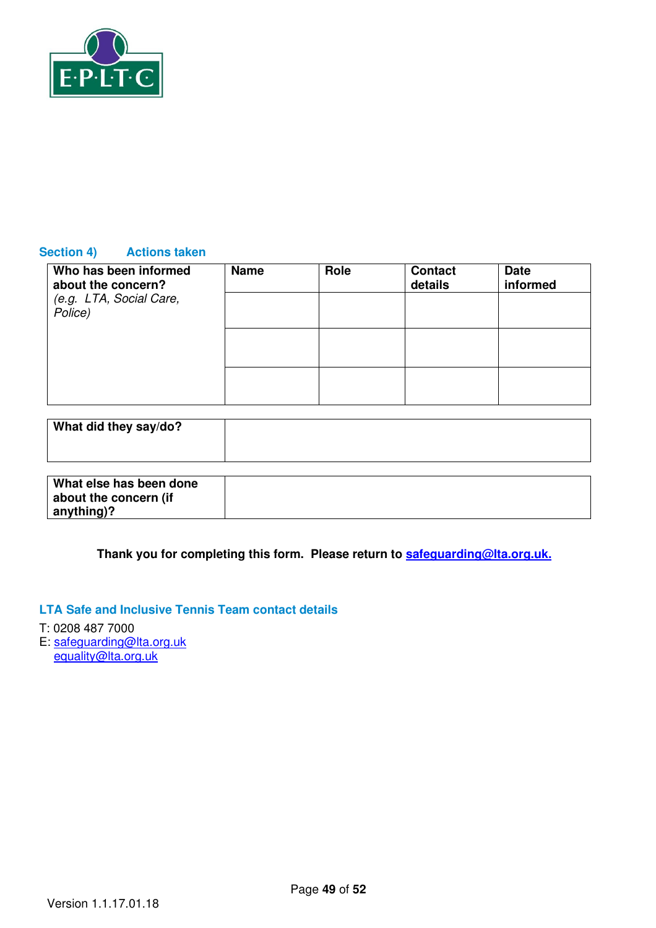

#### **Section 4) Actions taken**

| Who has been informed<br>about the concern? | <b>Name</b> | Role | <b>Contact</b><br>details | <b>Date</b><br>informed |
|---------------------------------------------|-------------|------|---------------------------|-------------------------|
| (e.g. LTA, Social Care,<br>Police)          |             |      |                           |                         |
|                                             |             |      |                           |                         |
|                                             |             |      |                           |                         |
|                                             |             |      |                           |                         |

| What did they say/do? |  |
|-----------------------|--|
|                       |  |
|                       |  |

| What else has been done |  |
|-------------------------|--|
| about the concern (if   |  |
| anything)?              |  |

**Thank you for completing this form. Please return to safeguarding@lta.org.uk.**

#### **LTA Safe and Inclusive Tennis Team contact details**

- T: 0208 487 7000
- E: safeguarding@lta.org.uk equality@lta.org.uk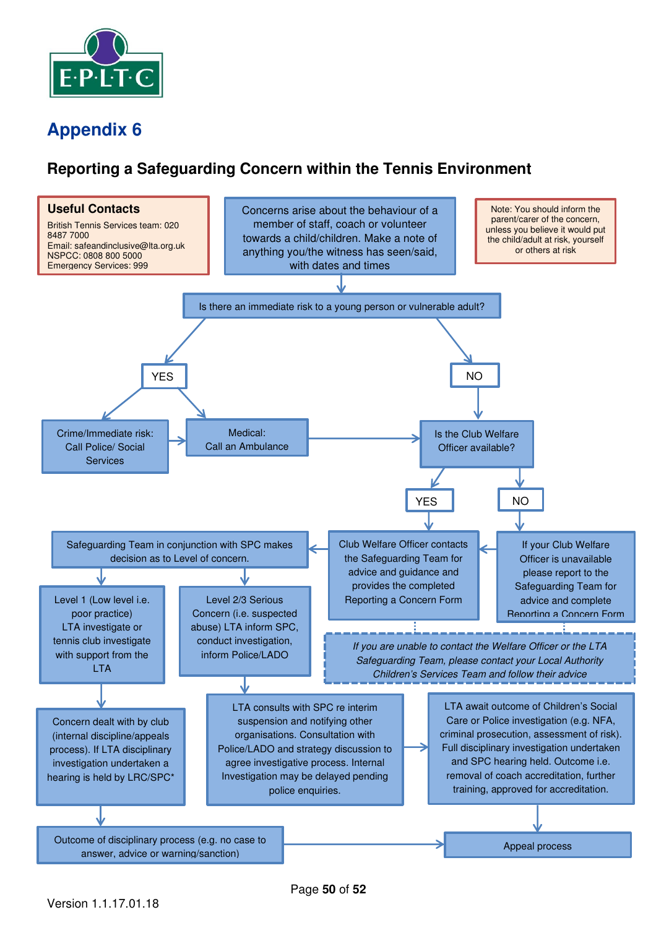

# **Appendix 6**

# **Reporting a Safeguarding Concern within the Tennis Environment**

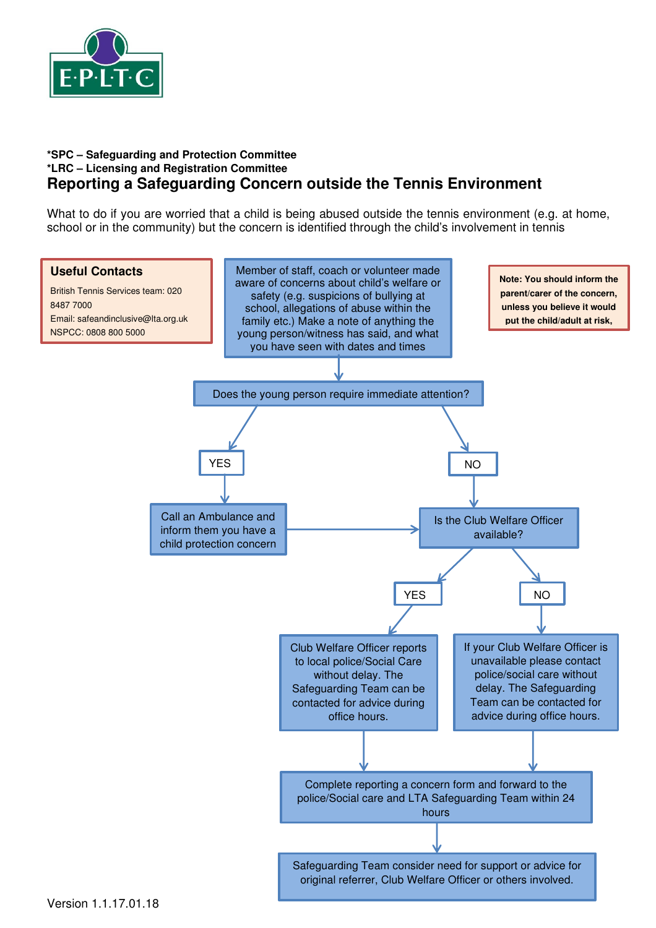

#### **\*SPC – Safeguarding and Protection Committee \*LRC – Licensing and Registration Committee Reporting a Safeguarding Concern outside the Tennis Environment**

What to do if you are worried that a child is being abused outside the tennis environment (e.g. at home, school or in the community) but the concern is identified through the child's involvement in tennis